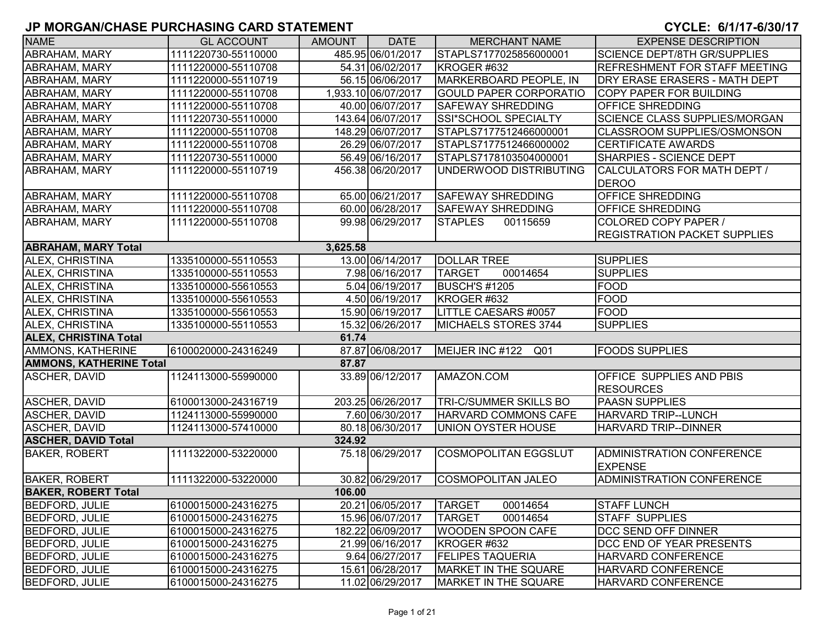| <b>NAME</b>                    | <b>GL ACCOUNT</b>   | <b>AMOUNT</b> | <b>DATE</b>         | <b>MERCHANT NAME</b>          | <b>EXPENSE DESCRIPTION</b>                          |
|--------------------------------|---------------------|---------------|---------------------|-------------------------------|-----------------------------------------------------|
| ABRAHAM, MARY                  | 1111220730-55110000 |               | 485.95 06/01/2017   | STAPLS7177025856000001        | <b>SCIENCE DEPT/8TH GR/SUPPLIES</b>                 |
| <b>ABRAHAM, MARY</b>           | 1111220000-55110708 |               | 54.31 06/02/2017    | KROGER #632                   | <b>REFRESHMENT FOR STAFF MEETING</b>                |
| ABRAHAM, MARY                  | 1111220000-55110719 |               | 56.15 06/06/2017    | MARKERBOARD PEOPLE, IN        | DRY ERASE ERASERS - MATH DEPT                       |
| ABRAHAM, MARY                  | 1111220000-55110708 |               | 1,933.10 06/07/2017 | <b>GOULD PAPER CORPORATIO</b> | COPY PAPER FOR BUILDING                             |
| ABRAHAM, MARY                  | 1111220000-55110708 |               | 40.00 06/07/2017    | SAFEWAY SHREDDING             | OFFICE SHREDDING                                    |
| ABRAHAM, MARY                  | 1111220730-55110000 |               | 143.64 06/07/2017   | SSI*SCHOOL SPECIALTY          | SCIENCE CLASS SUPPLIES/MORGAN                       |
| ABRAHAM, MARY                  | 1111220000-55110708 |               | 148.29 06/07/2017   | STAPLS7177512466000001        | CLASSROOM SUPPLIES/OSMONSON                         |
| ABRAHAM, MARY                  | 1111220000-55110708 |               | 26.29 06/07/2017    | STAPLS7177512466000002        | <b>CERTIFICATE AWARDS</b>                           |
| ABRAHAM, MARY                  | 1111220730-55110000 |               | 56.49 06/16/2017    | STAPLS7178103504000001        | SHARPIES - SCIENCE DEPT                             |
| ABRAHAM, MARY                  | 1111220000-55110719 |               | 456.38 06/20/2017   | UNDERWOOD DISTRIBUTING        | CALCULATORS FOR MATH DEPT /<br><b>DEROO</b>         |
| <b>ABRAHAM, MARY</b>           | 1111220000-55110708 |               | 65.00 06/21/2017    | <b>SAFEWAY SHREDDING</b>      | OFFICE SHREDDING                                    |
| <b>ABRAHAM, MARY</b>           | 1111220000-55110708 |               | 60.00 06/28/2017    | SAFEWAY SHREDDING             | OFFICE SHREDDING                                    |
| <b>ABRAHAM, MARY</b>           | 1111220000-55110708 |               | 99.98 06/29/2017    | 00115659<br><b>STAPLES</b>    | COLORED COPY PAPER /                                |
|                                |                     |               |                     |                               | <b>REGISTRATION PACKET SUPPLIES</b>                 |
| <b>ABRAHAM, MARY Total</b>     |                     | 3,625.58      |                     |                               |                                                     |
| ALEX, CHRISTINA                | 1335100000-55110553 |               | 13.00 06/14/2017    | <b>DOLLAR TREE</b>            | <b>SUPPLIES</b>                                     |
| ALEX, CHRISTINA                | 1335100000-55110553 |               | 7.98 06/16/2017     | <b>TARGET</b><br>00014654     | <b>SUPPLIES</b>                                     |
| ALEX, CHRISTINA                | 1335100000-55610553 |               | 5.04 06/19/2017     | <b>BUSCH'S #1205</b>          | <b>FOOD</b>                                         |
| ALEX, CHRISTINA                | 1335100000-55610553 |               | 4.50 06/19/2017     | KROGER #632                   | <b>FOOD</b>                                         |
| ALEX, CHRISTINA                | 1335100000-55610553 |               | 15.90 06/19/2017    | LITTLE CAESARS #0057          | <b>FOOD</b>                                         |
| ALEX, CHRISTINA                | 1335100000-55110553 |               | 15.32 06/26/2017    | MICHAELS STORES 3744          | <b>SUPPLIES</b>                                     |
| <b>ALEX, CHRISTINA Total</b>   |                     | 61.74         |                     |                               |                                                     |
| <b>AMMONS, KATHERINE</b>       | 6100020000-24316249 |               | 87.87 06/08/2017    | MEIJER INC #122<br>Q01        | <b>FOODS SUPPLIES</b>                               |
| <b>AMMONS, KATHERINE Total</b> |                     | 87.87         |                     |                               |                                                     |
| <b>ASCHER, DAVID</b>           | 1124113000-55990000 |               | 33.89 06/12/2017    | AMAZON.COM                    | <b>OFFICE SUPPLIES AND PBIS</b><br><b>RESOURCES</b> |
| <b>ASCHER, DAVID</b>           | 6100013000-24316719 |               | 203.25 06/26/2017   | TRI-C/SUMMER SKILLS BO        | <b>PAASN SUPPLIES</b>                               |
| <b>ASCHER, DAVID</b>           | 1124113000-55990000 |               | 7.60 06/30/2017     | HARVARD COMMONS CAFE          | HARVARD TRIP--LUNCH                                 |
| <b>ASCHER, DAVID</b>           | 1124113000-57410000 |               | 80.18 06/30/2017    | UNION OYSTER HOUSE            | HARVARD TRIP--DINNER                                |
| <b>ASCHER, DAVID Total</b>     |                     | 324.92        |                     |                               |                                                     |
| <b>BAKER, ROBERT</b>           | 1111322000-53220000 |               | 75.18 06/29/2017    | <b>COSMOPOLITAN EGGSLUT</b>   | ADMINISTRATION CONFERENCE<br><b>EXPENSE</b>         |
| <b>BAKER, ROBERT</b>           | 1111322000-53220000 |               | 30.82 06/29/2017    | COSMOPOLITAN JALEO            | ADMINISTRATION CONFERENCE                           |
| <b>BAKER, ROBERT Total</b>     |                     | 106.00        |                     |                               |                                                     |
| <b>BEDFORD, JULIE</b>          | 6100015000-24316275 |               | 20.21 06/05/2017    | <b>TARGET</b><br>00014654     | <b>STAFF LUNCH</b>                                  |
| <b>BEDFORD, JULIE</b>          | 6100015000-24316275 |               | 15.96 06/07/2017    | <b>TARGET</b><br>00014654     | <b>STAFF SUPPLIES</b>                               |
| <b>BEDFORD, JULIE</b>          | 6100015000-24316275 |               | 182.22 06/09/2017   | <b>WOODEN SPOON CAFE</b>      | DCC SEND OFF DINNER                                 |
| <b>BEDFORD, JULIE</b>          | 6100015000-24316275 |               | 21.99 06/16/2017    | KROGER #632                   | DCC END OF YEAR PRESENTS                            |
| <b>BEDFORD, JULIE</b>          | 6100015000-24316275 |               | 9.64 06/27/2017     | <b>FELIPES TAQUERIA</b>       | HARVARD CONFERENCE                                  |
| <b>BEDFORD, JULIE</b>          | 6100015000-24316275 |               | 15.61 06/28/2017    | MARKET IN THE SQUARE          | HARVARD CONFERENCE                                  |
| <b>BEDFORD, JULIE</b>          | 6100015000-24316275 |               | 11.02 06/29/2017    | MARKET IN THE SQUARE          | HARVARD CONFERENCE                                  |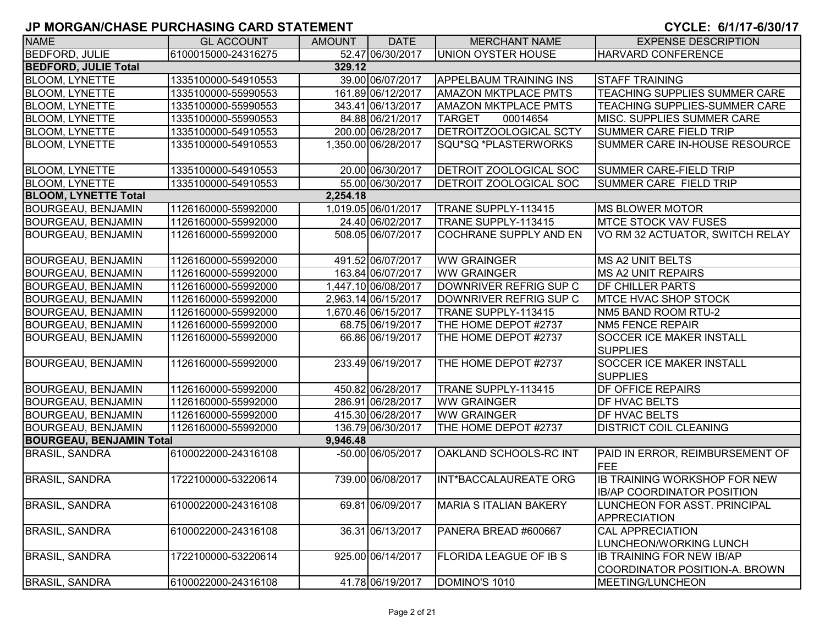| <b>NAME</b>                     | <b>GL ACCOUNT</b>   | <b>AMOUNT</b> | <b>DATE</b>         | <b>MERCHANT NAME</b>          | <b>EXPENSE DESCRIPTION</b>                                               |
|---------------------------------|---------------------|---------------|---------------------|-------------------------------|--------------------------------------------------------------------------|
| <b>BEDFORD, JULIE</b>           | 6100015000-24316275 |               | 52.47 06/30/2017    | UNION OYSTER HOUSE            | <b>HARVARD CONFERENCE</b>                                                |
| <b>BEDFORD, JULIE Total</b>     |                     | 329.12        |                     |                               |                                                                          |
| <b>BLOOM, LYNETTE</b>           | 1335100000-54910553 |               | 39.00 06/07/2017    | <b>APPELBAUM TRAINING INS</b> | <b>STAFF TRAINING</b>                                                    |
| <b>BLOOM, LYNETTE</b>           | 1335100000-55990553 |               | 161.89 06/12/2017   | <b>AMAZON MKTPLACE PMTS</b>   | TEACHING SUPPLIES SUMMER CARE                                            |
| <b>BLOOM, LYNETTE</b>           | 1335100000-55990553 |               | 343.41 06/13/2017   | <b>AMAZON MKTPLACE PMTS</b>   | <b>TEACHING SUPPLIES-SUMMER CARE</b>                                     |
| <b>BLOOM, LYNETTE</b>           | 1335100000-55990553 |               | 84.88 06/21/2017    | <b>TARGET</b><br>00014654     | <b>IMISC. SUPPLIES SUMMER CARE</b>                                       |
| <b>BLOOM, LYNETTE</b>           | 1335100000-54910553 |               | 200.00 06/28/2017   | <b>DETROITZOOLOGICAL SCTY</b> | <b>SUMMER CARE FIELD TRIP</b>                                            |
| <b>BLOOM, LYNETTE</b>           | 1335100000-54910553 |               | 1,350.00 06/28/2017 | SQU*SQ *PLASTERWORKS          | SUMMER CARE IN-HOUSE RESOURCE                                            |
| <b>BLOOM, LYNETTE</b>           | 1335100000-54910553 |               | 20.00 06/30/2017    | <b>DETROIT ZOOLOGICAL SOC</b> | SUMMER CARE-FIELD TRIP                                                   |
| <b>BLOOM, LYNETTE</b>           | 1335100000-54910553 |               | 55.00 06/30/2017    | <b>DETROIT ZOOLOGICAL SOC</b> | SUMMER CARE FIELD TRIP                                                   |
| <b>BLOOM, LYNETTE Total</b>     |                     | 2,254.18      |                     |                               |                                                                          |
| <b>BOURGEAU, BENJAMIN</b>       | 1126160000-55992000 |               | 1,019.05 06/01/2017 | TRANE SUPPLY-113415           | MS BLOWER MOTOR                                                          |
| <b>BOURGEAU, BENJAMIN</b>       | 1126160000-55992000 |               | 24.40 06/02/2017    | TRANE SUPPLY-113415           | <b>MTCE STOCK VAV FUSES</b>                                              |
| <b>BOURGEAU, BENJAMIN</b>       | 1126160000-55992000 |               | 508.05 06/07/2017   | COCHRANE SUPPLY AND EN        | VO RM 32 ACTUATOR, SWITCH RELAY                                          |
| <b>BOURGEAU, BENJAMIN</b>       | 1126160000-55992000 |               | 491.52 06/07/2017   | <b>WW GRAINGER</b>            | MS A2 UNIT BELTS                                                         |
| <b>BOURGEAU, BENJAMIN</b>       | 1126160000-55992000 |               | 163.84 06/07/2017   | <b>WW GRAINGER</b>            | <b>MS A2 UNIT REPAIRS</b>                                                |
| <b>BOURGEAU, BENJAMIN</b>       | 1126160000-55992000 |               | 1,447.10 06/08/2017 | DOWNRIVER REFRIG SUP C        | <b>DF CHILLER PARTS</b>                                                  |
| <b>BOURGEAU, BENJAMIN</b>       | 1126160000-55992000 |               | 2,963.14 06/15/2017 | DOWNRIVER REFRIG SUP C        | <b>IMTCE HVAC SHOP STOCK</b>                                             |
| <b>BOURGEAU, BENJAMIN</b>       | 1126160000-55992000 |               | 1,670.46 06/15/2017 | TRANE SUPPLY-113415           | NM5 BAND ROOM RTU-2                                                      |
| <b>BOURGEAU, BENJAMIN</b>       | 1126160000-55992000 |               | 68.75 06/19/2017    | THE HOME DEPOT #2737          | <b>NM5 FENCE REPAIR</b>                                                  |
| <b>BOURGEAU, BENJAMIN</b>       | 1126160000-55992000 |               | 66.86 06/19/2017    | THE HOME DEPOT #2737          | <b>SOCCER ICE MAKER INSTALL</b><br><b>SUPPLIES</b>                       |
| <b>BOURGEAU, BENJAMIN</b>       | 1126160000-55992000 |               | 233.49 06/19/2017   | THE HOME DEPOT #2737          | <b>SOCCER ICE MAKER INSTALL</b><br><b>SUPPLIES</b>                       |
| <b>BOURGEAU, BENJAMIN</b>       | 1126160000-55992000 |               | 450.82 06/28/2017   | TRANE SUPPLY-113415           | <b>DF OFFICE REPAIRS</b>                                                 |
| <b>BOURGEAU, BENJAMIN</b>       | 1126160000-55992000 |               | 286.91 06/28/2017   | <b>WW GRAINGER</b>            | <b>DF HVAC BELTS</b>                                                     |
| <b>BOURGEAU, BENJAMIN</b>       | 1126160000-55992000 |               | 415.30 06/28/2017   | <b>WW GRAINGER</b>            | <b>DF HVAC BELTS</b>                                                     |
| <b>BOURGEAU, BENJAMIN</b>       | 1126160000-55992000 |               | 136.79 06/30/2017   | THE HOME DEPOT #2737          | <b>DISTRICT COIL CLEANING</b>                                            |
| <b>BOURGEAU, BENJAMIN Total</b> |                     | 9,946.48      |                     |                               |                                                                          |
| <b>BRASIL, SANDRA</b>           | 6100022000-24316108 |               | -50.00 06/05/2017   | OAKLAND SCHOOLS-RC INT        | PAID IN ERROR, REIMBURSEMENT OF<br>FEE                                   |
| <b>BRASIL, SANDRA</b>           | 1722100000-53220614 |               | 739.00 06/08/2017   | INT*BACCALAUREATE ORG         | <b>IB TRAINING WORKSHOP FOR NEW</b><br><b>IB/AP COORDINATOR POSITION</b> |
| <b>BRASIL, SANDRA</b>           | 6100022000-24316108 |               | 69.81 06/09/2017    | MARIA S ITALIAN BAKERY        | LUNCHEON FOR ASST. PRINCIPAL<br><b>APPRECIATION</b>                      |
| <b>BRASIL, SANDRA</b>           | 6100022000-24316108 |               | 36.31 06/13/2017    | PANERA BREAD #600667          | <b>CAL APPRECIATION</b><br>LUNCHEON/WORKING LUNCH                        |
| <b>BRASIL, SANDRA</b>           | 1722100000-53220614 |               | 925.00 06/14/2017   | <b>FLORIDA LEAGUE OF IB S</b> | <b>IB TRAINING FOR NEW IB/AP</b><br>COORDINATOR POSITION-A. BROWN        |
| <b>BRASIL, SANDRA</b>           | 6100022000-24316108 |               | 41.78 06/19/2017    | DOMINO'S 1010                 | MEETING/LUNCHEON                                                         |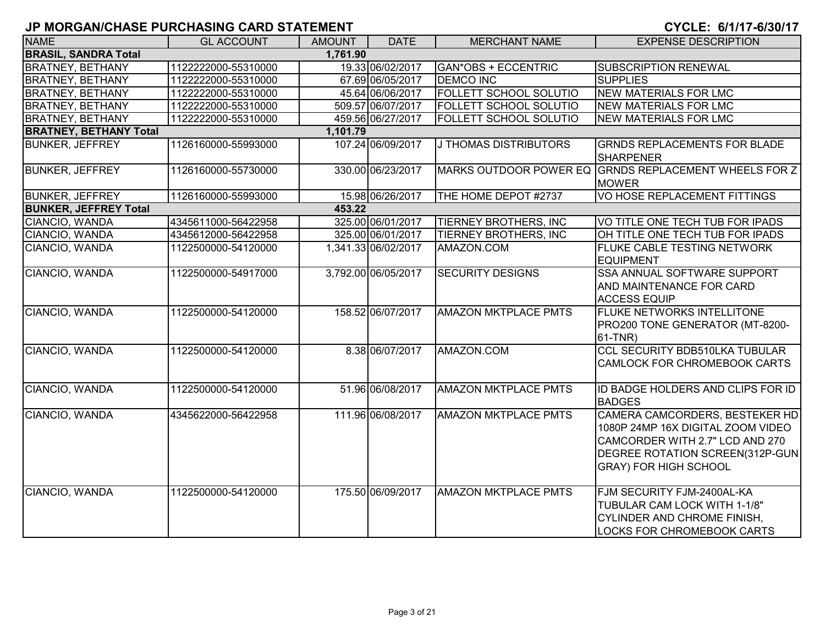| <b>NAME</b>                   | <b>GL ACCOUNT</b>   | <b>AMOUNT</b> | <b>DATE</b>         | <b>MERCHANT NAME</b>          | <b>EXPENSE DESCRIPTION</b>                                                                                                                                                |
|-------------------------------|---------------------|---------------|---------------------|-------------------------------|---------------------------------------------------------------------------------------------------------------------------------------------------------------------------|
| <b>BRASIL, SANDRA Total</b>   |                     | 1,761.90      |                     |                               |                                                                                                                                                                           |
| <b>BRATNEY, BETHANY</b>       | 1122222000-55310000 |               | 19.33 06/02/2017    | <b>GAN*OBS + ECCENTRIC</b>    | <b>SUBSCRIPTION RENEWAL</b>                                                                                                                                               |
| <b>BRATNEY, BETHANY</b>       | 1122222000-55310000 |               | 67.69 06/05/2017    | <b>DEMCO INC</b>              | <b>SUPPLIES</b>                                                                                                                                                           |
| <b>BRATNEY, BETHANY</b>       | 1122222000-55310000 |               | 45.64 06/06/2017    | FOLLETT SCHOOL SOLUTIO        | <b>NEW MATERIALS FOR LMC</b>                                                                                                                                              |
| <b>BRATNEY, BETHANY</b>       | 1122222000-55310000 |               | 509.57 06/07/2017   | FOLLETT SCHOOL SOLUTIO        | <b>NEW MATERIALS FOR LMC</b>                                                                                                                                              |
| <b>BRATNEY, BETHANY</b>       | 1122222000-55310000 |               | 459.56 06/27/2017   | <b>FOLLETT SCHOOL SOLUTIO</b> | NEW MATERIALS FOR LMC                                                                                                                                                     |
| <b>BRATNEY, BETHANY Total</b> |                     | 1,101.79      |                     |                               |                                                                                                                                                                           |
| <b>BUNKER, JEFFREY</b>        | 1126160000-55993000 |               | 107.24 06/09/2017   | J THOMAS DISTRIBUTORS         | <b>GRNDS REPLACEMENTS FOR BLADE</b><br>SHARPENER                                                                                                                          |
| <b>BUNKER, JEFFREY</b>        | 1126160000-55730000 |               | 330.00 06/23/2017   | <b>MARKS OUTDOOR POWER EQ</b> | <b>GRNDS REPLACEMENT WHEELS FOR Z</b><br><b>MOWER</b>                                                                                                                     |
| <b>BUNKER, JEFFREY</b>        | 1126160000-55993000 |               | 15.98 06/26/2017    | THE HOME DEPOT #2737          | VO HOSE REPLACEMENT FITTINGS                                                                                                                                              |
| <b>BUNKER, JEFFREY Total</b>  |                     | 453.22        |                     |                               |                                                                                                                                                                           |
| CIANCIO, WANDA                | 4345611000-56422958 |               | 325.00 06/01/2017   | TIERNEY BROTHERS, INC         | VO TITLE ONE TECH TUB FOR IPADS                                                                                                                                           |
| CIANCIO, WANDA                | 4345612000-56422958 |               | 325.00 06/01/2017   | TIERNEY BROTHERS, INC         | OH TITLE ONE TECH TUB FOR IPADS                                                                                                                                           |
| CIANCIO, WANDA                | 1122500000-54120000 |               | 1,341.33 06/02/2017 | AMAZON.COM                    | <b>FLUKE CABLE TESTING NETWORK</b><br><b>EQUIPMENT</b>                                                                                                                    |
| CIANCIO, WANDA                | 1122500000-54917000 |               | 3,792.00 06/05/2017 | <b>SECURITY DESIGNS</b>       | <b>SSA ANNUAL SOFTWARE SUPPORT</b><br>AND MAINTENANCE FOR CARD<br><b>ACCESS EQUIP</b>                                                                                     |
| CIANCIO, WANDA                | 1122500000-54120000 |               | 158.52 06/07/2017   | <b>AMAZON MKTPLACE PMTS</b>   | <b>FLUKE NETWORKS INTELLITONE</b><br>PRO200 TONE GENERATOR (MT-8200-<br>$61-TNR)$                                                                                         |
| CIANCIO, WANDA                | 1122500000-54120000 |               | 8.38 06/07/2017     | AMAZON.COM                    | <b>CCL SECURITY BDB510LKA TUBULAR</b><br><b>CAMLOCK FOR CHROMEBOOK CARTS</b>                                                                                              |
| CIANCIO, WANDA                | 1122500000-54120000 |               | 51.96 06/08/2017    | <b>AMAZON MKTPLACE PMTS</b>   | ID BADGE HOLDERS AND CLIPS FOR ID<br><b>BADGES</b>                                                                                                                        |
| CIANCIO, WANDA                | 4345622000-56422958 |               | 111.96 06/08/2017   | <b>AMAZON MKTPLACE PMTS</b>   | CAMERA CAMCORDERS, BESTEKER HD<br>1080P 24MP 16X DIGITAL ZOOM VIDEO<br>CAMCORDER WITH 2.7" LCD AND 270<br>DEGREE ROTATION SCREEN(312P-GUN<br><b>GRAY) FOR HIGH SCHOOL</b> |
| CIANCIO, WANDA                | 1122500000-54120000 |               | 175.50 06/09/2017   | <b>AMAZON MKTPLACE PMTS</b>   | FJM SECURITY FJM-2400AL-KA<br>TUBULAR CAM LOCK WITH 1-1/8"<br><b>CYLINDER AND CHROME FINISH,</b><br><b>LOCKS FOR CHROMEBOOK CARTS</b>                                     |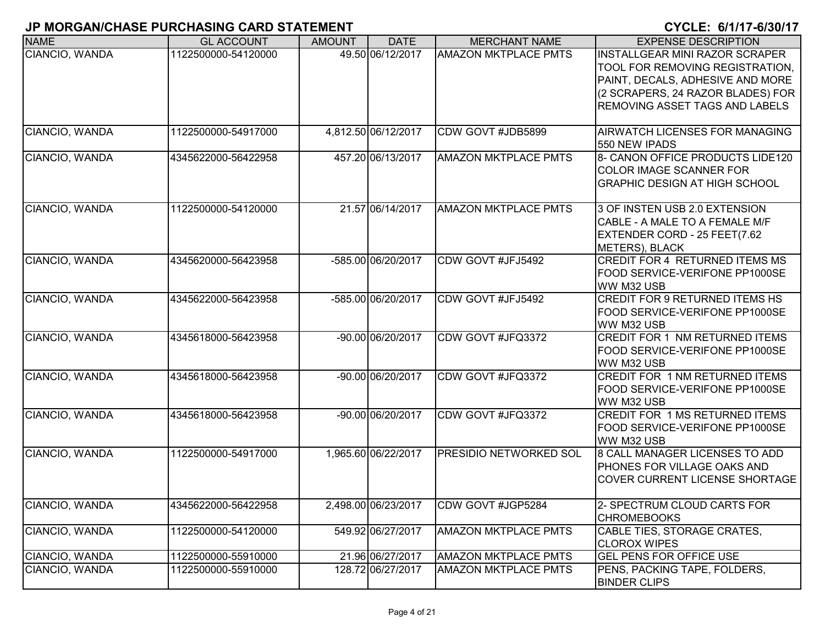| <b>NAME</b>    | <b>GL ACCOUNT</b>   | <b>AMOUNT</b> | <b>DATE</b>         | <b>MERCHANT NAME</b>          | <b>EXPENSE DESCRIPTION</b>                                                                                                                                                                 |
|----------------|---------------------|---------------|---------------------|-------------------------------|--------------------------------------------------------------------------------------------------------------------------------------------------------------------------------------------|
| CIANCIO, WANDA | 1122500000-54120000 |               | 49.50 06/12/2017    | <b>AMAZON MKTPLACE PMTS</b>   | <b>INSTALLGEAR MINI RAZOR SCRAPER</b><br>TOOL FOR REMOVING REGISTRATION,<br>PAINT, DECALS, ADHESIVE AND MORE<br>(2 SCRAPERS, 24 RAZOR BLADES) FOR<br><b>REMOVING ASSET TAGS AND LABELS</b> |
| CIANCIO, WANDA | 1122500000-54917000 |               | 4,812.50 06/12/2017 | CDW GOVT #JDB5899             | <b>AIRWATCH LICENSES FOR MANAGING</b><br>550 NEW IPADS                                                                                                                                     |
| CIANCIO, WANDA | 4345622000-56422958 |               | 457.20 06/13/2017   | <b>AMAZON MKTPLACE PMTS</b>   | 8- CANON OFFICE PRODUCTS LIDE120<br><b>COLOR IMAGE SCANNER FOR</b><br><b>GRAPHIC DESIGN AT HIGH SCHOOL</b>                                                                                 |
| CIANCIO, WANDA | 1122500000-54120000 |               | 21.57 06/14/2017    | <b>AMAZON MKTPLACE PMTS</b>   | 3 OF INSTEN USB 2.0 EXTENSION<br>CABLE - A MALE TO A FEMALE M/F<br>EXTENDER CORD - 25 FEET(7.62<br><b>METERS), BLACK</b>                                                                   |
| CIANCIO, WANDA | 4345620000-56423958 |               | -585.00 06/20/2017  | CDW GOVT #JFJ5492             | <b>CREDIT FOR 4 RETURNED ITEMS MS</b><br>FOOD SERVICE-VERIFONE PP1000SE<br>WW M32 USB                                                                                                      |
| CIANCIO, WANDA | 4345622000-56423958 |               | -585.00 06/20/2017  | CDW GOVT #JFJ5492             | <b>CREDIT FOR 9 RETURNED ITEMS HS</b><br>FOOD SERVICE-VERIFONE PP1000SE<br>WW M32 USB                                                                                                      |
| CIANCIO, WANDA | 4345618000-56423958 |               | -90.00 06/20/2017   | CDW GOVT #JFQ3372             | <b>CREDIT FOR 1 NM RETURNED ITEMS</b><br>FOOD SERVICE-VERIFONE PP1000SE<br>WW M32 USB                                                                                                      |
| CIANCIO, WANDA | 4345618000-56423958 |               | -90.00 06/20/2017   | CDW GOVT #JFQ3372             | <b>CREDIT FOR 1 NM RETURNED ITEMS</b><br>FOOD SERVICE-VERIFONE PP1000SE<br>WW M32 USB                                                                                                      |
| CIANCIO, WANDA | 4345618000-56423958 |               | -90.00 06/20/2017   | CDW GOVT #JFQ3372             | CREDIT FOR 1 MS RETURNED ITEMS<br>FOOD SERVICE-VERIFONE PP1000SE<br>WW M32 USB                                                                                                             |
| CIANCIO, WANDA | 1122500000-54917000 |               | 1,965.60 06/22/2017 | <b>PRESIDIO NETWORKED SOL</b> | 8 CALL MANAGER LICENSES TO ADD<br>PHONES FOR VILLAGE OAKS AND<br><b>COVER CURRENT LICENSE SHORTAGE</b>                                                                                     |
| CIANCIO, WANDA | 4345622000-56422958 |               | 2,498.00 06/23/2017 | CDW GOVT #JGP5284             | 2- SPECTRUM CLOUD CARTS FOR<br><b>CHROMEBOOKS</b>                                                                                                                                          |
| CIANCIO, WANDA | 1122500000-54120000 |               | 549.92 06/27/2017   | <b>AMAZON MKTPLACE PMTS</b>   | CABLE TIES, STORAGE CRATES,<br><b>CLOROX WIPES</b>                                                                                                                                         |
| CIANCIO, WANDA | 1122500000-55910000 |               | 21.96 06/27/2017    | <b>AMAZON MKTPLACE PMTS</b>   | <b>GEL PENS FOR OFFICE USE</b>                                                                                                                                                             |
| CIANCIO, WANDA | 1122500000-55910000 |               | 128.72 06/27/2017   | <b>AMAZON MKTPLACE PMTS</b>   | PENS, PACKING TAPE, FOLDERS,<br><b>BINDER CLIPS</b>                                                                                                                                        |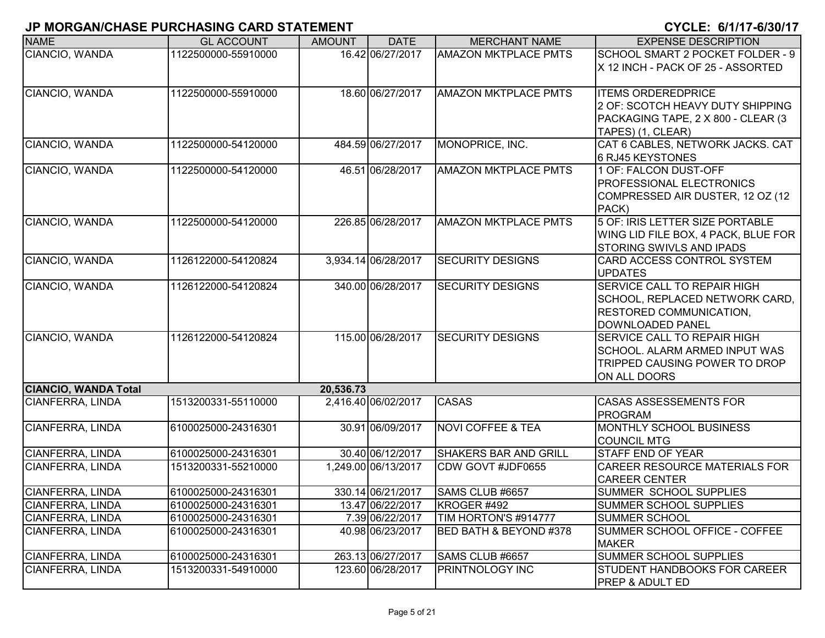| <b>NAME</b>                 | <b>GL ACCOUNT</b>   | <b>AMOUNT</b> | <b>DATE</b>         | <b>MERCHANT NAME</b>         | <b>EXPENSE DESCRIPTION</b>                                                                                                 |
|-----------------------------|---------------------|---------------|---------------------|------------------------------|----------------------------------------------------------------------------------------------------------------------------|
| CIANCIO, WANDA              | 1122500000-55910000 |               | 16.42 06/27/2017    | <b>AMAZON MKTPLACE PMTS</b>  | SCHOOL SMART 2 POCKET FOLDER - 9<br>X 12 INCH - PACK OF 25 - ASSORTED                                                      |
| CIANCIO, WANDA              | 1122500000-55910000 |               | 18.60 06/27/2017    | <b>AMAZON MKTPLACE PMTS</b>  | <b>ITEMS ORDEREDPRICE</b><br>2 OF: SCOTCH HEAVY DUTY SHIPPING<br>PACKAGING TAPE, 2 X 800 - CLEAR (3<br>TAPES) (1, CLEAR)   |
| CIANCIO, WANDA              | 1122500000-54120000 |               | 484.59 06/27/2017   | MONOPRICE, INC.              | CAT 6 CABLES, NETWORK JACKS. CAT<br>6 RJ45 KEYSTONES                                                                       |
| CIANCIO, WANDA              | 1122500000-54120000 |               | 46.51 06/28/2017    | <b>AMAZON MKTPLACE PMTS</b>  | 1 OF: FALCON DUST-OFF<br><b>PROFESSIONAL ELECTRONICS</b><br>COMPRESSED AIR DUSTER, 12 OZ (12<br>PACK)                      |
| CIANCIO, WANDA              | 1122500000-54120000 |               | 226.85 06/28/2017   | <b>AMAZON MKTPLACE PMTS</b>  | 5 OF: IRIS LETTER SIZE PORTABLE<br>WING LID FILE BOX, 4 PACK, BLUE FOR<br><b>STORING SWIVLS AND IPADS</b>                  |
| CIANCIO, WANDA              | 1126122000-54120824 |               | 3,934.14 06/28/2017 | <b>SECURITY DESIGNS</b>      | CARD ACCESS CONTROL SYSTEM<br><b>UPDATES</b>                                                                               |
| CIANCIO, WANDA              | 1126122000-54120824 |               | 340.00 06/28/2017   | <b>SECURITY DESIGNS</b>      | <b>SERVICE CALL TO REPAIR HIGH</b><br>SCHOOL, REPLACED NETWORK CARD,<br><b>RESTORED COMMUNICATION,</b><br>DOWNLOADED PANEL |
| CIANCIO, WANDA              | 1126122000-54120824 |               | 115.00 06/28/2017   | <b>SECURITY DESIGNS</b>      | <b>SERVICE CALL TO REPAIR HIGH</b><br>SCHOOL. ALARM ARMED INPUT WAS<br>TRIPPED CAUSING POWER TO DROP<br>ON ALL DOORS       |
| <b>CIANCIO, WANDA Total</b> |                     | 20,536.73     |                     |                              |                                                                                                                            |
| CIANFERRA, LINDA            | 1513200331-55110000 |               | 2,416.40 06/02/2017 | <b>CASAS</b>                 | <b>CASAS ASSESSEMENTS FOR</b><br>PROGRAM                                                                                   |
| CIANFERRA, LINDA            | 6100025000-24316301 |               | 30.91 06/09/2017    | <b>NOVI COFFEE &amp; TEA</b> | <b>MONTHLY SCHOOL BUSINESS</b><br><b>COUNCIL MTG</b>                                                                       |
| CIANFERRA, LINDA            | 6100025000-24316301 |               | 30.40 06/12/2017    | <b>SHAKERS BAR AND GRILL</b> | <b>STAFF END OF YEAR</b>                                                                                                   |
| CIANFERRA, LINDA            | 1513200331-55210000 |               | 1,249.00 06/13/2017 | CDW GOVT #JDF0655            | <b>CAREER RESOURCE MATERIALS FOR</b><br><b>CAREER CENTER</b>                                                               |
| CIANFERRA, LINDA            | 6100025000-24316301 |               | 330.14 06/21/2017   | SAMS CLUB #6657              | SUMMER SCHOOL SUPPLIES                                                                                                     |
| CIANFERRA, LINDA            | 6100025000-24316301 |               | 13.47 06/22/2017    | KROGER #492                  | SUMMER SCHOOL SUPPLIES                                                                                                     |
| CIANFERRA, LINDA            | 6100025000-24316301 |               | 7.39 06/22/2017     | TIM HORTON'S #914777         | <b>SUMMER SCHOOL</b>                                                                                                       |
| <b>CIANFERRA, LINDA</b>     | 6100025000-24316301 |               | 40.98 06/23/2017    | BED BATH & BEYOND #378       | SUMMER SCHOOL OFFICE - COFFEE<br><b>MAKER</b>                                                                              |
| CIANFERRA, LINDA            | 6100025000-24316301 |               | 263.13 06/27/2017   | SAMS CLUB #6657              | <b>SUMMER SCHOOL SUPPLIES</b>                                                                                              |
| CIANFERRA, LINDA            | 1513200331-54910000 |               | 123.60 06/28/2017   | <b>PRINTNOLOGY INC</b>       | STUDENT HANDBOOKS FOR CAREER<br>IPREP & ADULT ED.                                                                          |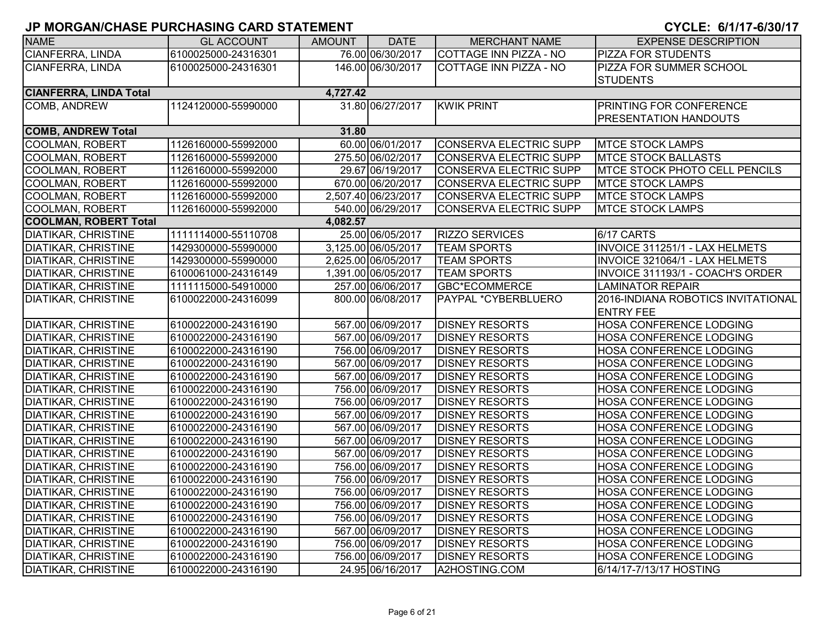| <b>NAME</b>                   | <b>GL ACCOUNT</b>   | AMOUNT   | <b>DATE</b>         | <b>MERCHANT NAME</b>          | <b>EXPENSE DESCRIPTION</b>           |
|-------------------------------|---------------------|----------|---------------------|-------------------------------|--------------------------------------|
| <b>CIANFERRA, LINDA</b>       | 6100025000-24316301 |          | 76.00 06/30/2017    | <b>COTTAGE INN PIZZA - NO</b> | PIZZA FOR STUDENTS                   |
| <b>CIANFERRA, LINDA</b>       | 6100025000-24316301 |          | 146.00 06/30/2017   | COTTAGE INN PIZZA - NO        | PIZZA FOR SUMMER SCHOOL              |
|                               |                     |          |                     |                               | <b>STUDENTS</b>                      |
| <b>CIANFERRA, LINDA Total</b> |                     | 4,727.42 |                     |                               |                                      |
| <b>COMB, ANDREW</b>           | 1124120000-55990000 |          | 31.80 06/27/2017    | <b>KWIK PRINT</b>             | <b>PRINTING FOR CONFERENCE</b>       |
|                               |                     |          |                     |                               | <b>PRESENTATION HANDOUTS</b>         |
| <b>COMB, ANDREW Total</b>     |                     | 31.80    |                     |                               |                                      |
| <b>COOLMAN, ROBERT</b>        | 1126160000-55992000 |          | 60.00 06/01/2017    | <b>CONSERVA ELECTRIC SUPP</b> | <b>MTCE STOCK LAMPS</b>              |
| <b>COOLMAN, ROBERT</b>        | 1126160000-55992000 |          | 275.50 06/02/2017   | CONSERVA ELECTRIC SUPP        | <b>MTCE STOCK BALLASTS</b>           |
| <b>COOLMAN, ROBERT</b>        | 1126160000-55992000 |          | 29.67 06/19/2017    | <b>CONSERVA ELECTRIC SUPP</b> | <b>MTCE STOCK PHOTO CELL PENCILS</b> |
| <b>COOLMAN, ROBERT</b>        | 1126160000-55992000 |          | 670.00 06/20/2017   | <b>CONSERVA ELECTRIC SUPP</b> | <b>MTCE STOCK LAMPS</b>              |
| <b>COOLMAN, ROBERT</b>        | 1126160000-55992000 |          | 2,507.40 06/23/2017 | CONSERVA ELECTRIC SUPP        | <b>MTCE STOCK LAMPS</b>              |
| <b>COOLMAN, ROBERT</b>        | 1126160000-55992000 |          | 540.00 06/29/2017   | <b>CONSERVA ELECTRIC SUPP</b> | <b>MTCE STOCK LAMPS</b>              |
| <b>COOLMAN, ROBERT Total</b>  |                     | 4,082.57 |                     |                               |                                      |
| <b>DIATIKAR, CHRISTINE</b>    | 1111114000-55110708 |          | 25.00 06/05/2017    | <b>RIZZO SERVICES</b>         | 6/17 CARTS                           |
| <b>DIATIKAR, CHRISTINE</b>    | 1429300000-55990000 |          | 3,125.00 06/05/2017 | <b>TEAM SPORTS</b>            | INVOICE 311251/1 - LAX HELMETS       |
| <b>DIATIKAR, CHRISTINE</b>    | 1429300000-55990000 |          | 2,625.00 06/05/2017 | <b>TEAM SPORTS</b>            | INVOICE 321064/1 - LAX HELMETS       |
| <b>DIATIKAR, CHRISTINE</b>    | 6100061000-24316149 |          | 1,391.00 06/05/2017 | <b>TEAM SPORTS</b>            | INVOICE 311193/1 - COACH'S ORDER     |
| <b>DIATIKAR, CHRISTINE</b>    | 1111115000-54910000 |          | 257.00 06/06/2017   | <b>GBC*ECOMMERCE</b>          | <b>LAMINATOR REPAIR</b>              |
| <b>DIATIKAR, CHRISTINE</b>    | 6100022000-24316099 |          | 800.00 06/08/2017   | PAYPAL *CYBERBLUERO           | 2016-INDIANA ROBOTICS INVITATIONAL   |
|                               |                     |          |                     |                               | <b>ENTRY FEE</b>                     |
| <b>DIATIKAR, CHRISTINE</b>    | 6100022000-24316190 |          | 567.00 06/09/2017   | <b>DISNEY RESORTS</b>         | <b>HOSA CONFERENCE LODGING</b>       |
| <b>DIATIKAR, CHRISTINE</b>    | 6100022000-24316190 |          | 567.00 06/09/2017   | <b>DISNEY RESORTS</b>         | HOSA CONFERENCE LODGING              |
| <b>DIATIKAR, CHRISTINE</b>    | 6100022000-24316190 |          | 756.00 06/09/2017   | <b>DISNEY RESORTS</b>         | HOSA CONFERENCE LODGING              |
| <b>DIATIKAR, CHRISTINE</b>    | 6100022000-24316190 |          | 567.00 06/09/2017   | <b>DISNEY RESORTS</b>         | <b>HOSA CONFERENCE LODGING</b>       |
| <b>DIATIKAR, CHRISTINE</b>    | 6100022000-24316190 |          | 567.00 06/09/2017   | <b>DISNEY RESORTS</b>         | <b>HOSA CONFERENCE LODGING</b>       |
| <b>DIATIKAR, CHRISTINE</b>    | 6100022000-24316190 |          | 756.00 06/09/2017   | <b>DISNEY RESORTS</b>         | HOSA CONFERENCE LODGING              |
| <b>DIATIKAR, CHRISTINE</b>    | 6100022000-24316190 |          | 756.00 06/09/2017   | <b>DISNEY RESORTS</b>         | <b>HOSA CONFERENCE LODGING</b>       |
| <b>DIATIKAR, CHRISTINE</b>    | 6100022000-24316190 |          | 567.00 06/09/2017   | <b>DISNEY RESORTS</b>         | <b>HOSA CONFERENCE LODGING</b>       |
| <b>DIATIKAR, CHRISTINE</b>    | 6100022000-24316190 |          | 567.00 06/09/2017   | <b>DISNEY RESORTS</b>         | <b>HOSA CONFERENCE LODGING</b>       |
| <b>DIATIKAR, CHRISTINE</b>    | 6100022000-24316190 |          | 567.00 06/09/2017   | <b>DISNEY RESORTS</b>         | HOSA CONFERENCE LODGING              |
| <b>DIATIKAR, CHRISTINE</b>    | 6100022000-24316190 |          | 567.00 06/09/2017   | <b>DISNEY RESORTS</b>         | HOSA CONFERENCE LODGING              |
| <b>DIATIKAR, CHRISTINE</b>    | 6100022000-24316190 |          | 756.00 06/09/2017   | <b>DISNEY RESORTS</b>         | HOSA CONFERENCE LODGING              |
| <b>DIATIKAR, CHRISTINE</b>    | 6100022000-24316190 |          | 756.00 06/09/2017   | <b>DISNEY RESORTS</b>         | <b>HOSA CONFERENCE LODGING</b>       |
| <b>DIATIKAR, CHRISTINE</b>    | 6100022000-24316190 |          | 756.00 06/09/2017   | <b>DISNEY RESORTS</b>         | HOSA CONFERENCE LODGING              |
| <b>DIATIKAR, CHRISTINE</b>    | 6100022000-24316190 |          | 756.00 06/09/2017   | <b>DISNEY RESORTS</b>         | <b>HOSA CONFERENCE LODGING</b>       |
| <b>DIATIKAR, CHRISTINE</b>    | 6100022000-24316190 |          | 756.00 06/09/2017   | <b>DISNEY RESORTS</b>         | HOSA CONFERENCE LODGING              |
| <b>DIATIKAR, CHRISTINE</b>    | 6100022000-24316190 |          | 567.00 06/09/2017   | <b>DISNEY RESORTS</b>         | HOSA CONFERENCE LODGING              |
| <b>DIATIKAR, CHRISTINE</b>    | 6100022000-24316190 |          | 756.00 06/09/2017   | <b>DISNEY RESORTS</b>         | <b>HOSA CONFERENCE LODGING</b>       |
| <b>DIATIKAR, CHRISTINE</b>    | 6100022000-24316190 |          | 756.00 06/09/2017   | <b>DISNEY RESORTS</b>         | HOSA CONFERENCE LODGING              |
| <b>DIATIKAR, CHRISTINE</b>    | 6100022000-24316190 |          | 24.95 06/16/2017    | A2HOSTING.COM                 | 6/14/17-7/13/17 HOSTING              |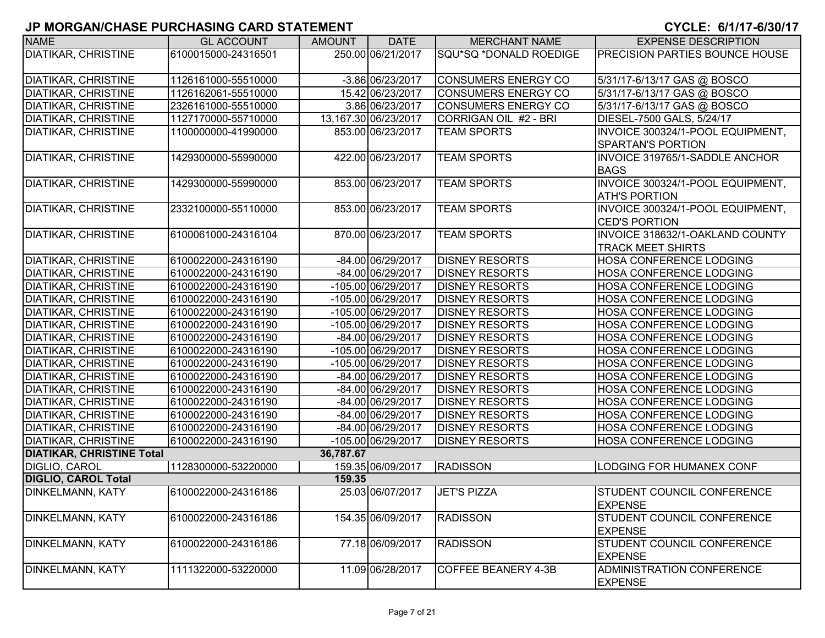| <b>NAME</b>                      | <b>GL ACCOUNT</b>   | <b>AMOUNT</b> | <b>DATE</b>          | <b>MERCHANT NAME</b>       | <b>EXPENSE DESCRIPTION</b>            |
|----------------------------------|---------------------|---------------|----------------------|----------------------------|---------------------------------------|
| <b>DIATIKAR, CHRISTINE</b>       | 6100015000-24316501 |               | 250.00 06/21/2017    | SQU*SQ *DONALD ROEDIGE     | <b>PRECISION PARTIES BOUNCE HOUSE</b> |
|                                  |                     |               |                      |                            |                                       |
| <b>DIATIKAR, CHRISTINE</b>       | 1126161000-55510000 |               | -3.86 06/23/2017     | <b>CONSUMERS ENERGY CO</b> | 5/31/17-6/13/17 GAS @ BOSCO           |
| <b>DIATIKAR, CHRISTINE</b>       | 1126162061-55510000 |               | 15.42 06/23/2017     | <b>CONSUMERS ENERGY CO</b> | 5/31/17-6/13/17 GAS @ BOSCO           |
| <b>DIATIKAR, CHRISTINE</b>       | 2326161000-55510000 |               | 3.86 06/23/2017      | <b>CONSUMERS ENERGY CO</b> | 5/31/17-6/13/17 GAS @ BOSCO           |
| <b>DIATIKAR, CHRISTINE</b>       | 1127170000-55710000 |               | 13,167.30 06/23/2017 | CORRIGAN OIL #2 - BRI      | DIESEL-7500 GALS, 5/24/17             |
| <b>DIATIKAR, CHRISTINE</b>       | 1100000000-41990000 |               | 853.00 06/23/2017    | <b>TEAM SPORTS</b>         | INVOICE 300324/1-POOL EQUIPMENT,      |
|                                  |                     |               |                      |                            | <b>SPARTAN'S PORTION</b>              |
| <b>DIATIKAR, CHRISTINE</b>       | 1429300000-55990000 |               | 422.00 06/23/2017    | <b>TEAM SPORTS</b>         | INVOICE 319765/1-SADDLE ANCHOR        |
|                                  |                     |               |                      |                            | <b>BAGS</b>                           |
| <b>DIATIKAR, CHRISTINE</b>       | 1429300000-55990000 |               | 853.00 06/23/2017    | <b>TEAM SPORTS</b>         | INVOICE 300324/1-POOL EQUIPMENT,      |
|                                  |                     |               |                      |                            | <b>ATH'S PORTION</b>                  |
| <b>DIATIKAR, CHRISTINE</b>       | 2332100000-55110000 |               | 853.00 06/23/2017    | <b>TEAM SPORTS</b>         | INVOICE 300324/1-POOL EQUIPMENT,      |
|                                  |                     |               |                      |                            | <b>CED'S PORTION</b>                  |
| <b>DIATIKAR, CHRISTINE</b>       | 6100061000-24316104 |               | 870.00 06/23/2017    | <b>TEAM SPORTS</b>         | INVOICE 318632/1-OAKLAND COUNTY       |
|                                  |                     |               |                      |                            | <b>TRACK MEET SHIRTS</b>              |
| <b>DIATIKAR, CHRISTINE</b>       | 6100022000-24316190 |               | -84.00 06/29/2017    | <b>DISNEY RESORTS</b>      | HOSA CONFERENCE LODGING               |
| <b>DIATIKAR, CHRISTINE</b>       | 6100022000-24316190 |               | -84.00 06/29/2017    | <b>DISNEY RESORTS</b>      | <b>HOSA CONFERENCE LODGING</b>        |
| <b>DIATIKAR, CHRISTINE</b>       | 6100022000-24316190 |               | -105.00 06/29/2017   | <b>DISNEY RESORTS</b>      | <b>HOSA CONFERENCE LODGING</b>        |
| <b>DIATIKAR, CHRISTINE</b>       | 6100022000-24316190 |               | $-105.00$ 06/29/2017 | <b>DISNEY RESORTS</b>      | <b>HOSA CONFERENCE LODGING</b>        |
| <b>DIATIKAR, CHRISTINE</b>       | 6100022000-24316190 |               | -105.00 06/29/2017   | <b>DISNEY RESORTS</b>      | <b>HOSA CONFERENCE LODGING</b>        |
| <b>DIATIKAR, CHRISTINE</b>       | 6100022000-24316190 |               | -105.00 06/29/2017   | <b>DISNEY RESORTS</b>      | <b>HOSA CONFERENCE LODGING</b>        |
| <b>DIATIKAR, CHRISTINE</b>       | 6100022000-24316190 |               | -84.00 06/29/2017    | <b>DISNEY RESORTS</b>      | <b>HOSA CONFERENCE LODGING</b>        |
| <b>DIATIKAR, CHRISTINE</b>       | 6100022000-24316190 |               | $-105.00$ 06/29/2017 | <b>DISNEY RESORTS</b>      | HOSA CONFERENCE LODGING               |
| <b>DIATIKAR, CHRISTINE</b>       | 6100022000-24316190 |               | -105.00 06/29/2017   | <b>DISNEY RESORTS</b>      | HOSA CONFERENCE LODGING               |
| <b>DIATIKAR, CHRISTINE</b>       | 6100022000-24316190 |               | -84.00 06/29/2017    | <b>DISNEY RESORTS</b>      | <b>HOSA CONFERENCE LODGING</b>        |
| <b>DIATIKAR, CHRISTINE</b>       | 6100022000-24316190 |               | -84.00 06/29/2017    | <b>DISNEY RESORTS</b>      | <b>HOSA CONFERENCE LODGING</b>        |
| <b>DIATIKAR, CHRISTINE</b>       | 6100022000-24316190 |               | -84.00 06/29/2017    | <b>DISNEY RESORTS</b>      | <b>HOSA CONFERENCE LODGING</b>        |
| <b>DIATIKAR, CHRISTINE</b>       | 6100022000-24316190 |               | -84.00 06/29/2017    | <b>DISNEY RESORTS</b>      | <b>HOSA CONFERENCE LODGING</b>        |
| <b>DIATIKAR, CHRISTINE</b>       | 6100022000-24316190 |               | -84.00 06/29/2017    | <b>DISNEY RESORTS</b>      | <b>HOSA CONFERENCE LODGING</b>        |
| <b>DIATIKAR, CHRISTINE</b>       | 6100022000-24316190 |               | -105.00 06/29/2017   | <b>DISNEY RESORTS</b>      | <b>HOSA CONFERENCE LODGING</b>        |
| <b>DIATIKAR, CHRISTINE Total</b> |                     | 36,787.67     |                      |                            |                                       |
| <b>DIGLIO, CAROL</b>             | 1128300000-53220000 |               | 159.35 06/09/2017    | <b>RADISSON</b>            | <b>LODGING FOR HUMANEX CONF</b>       |
| <b>DIGLIO, CAROL Total</b>       |                     | 159.35        |                      |                            |                                       |
| <b>DINKELMANN, KATY</b>          | 6100022000-24316186 |               | 25.03 06/07/2017     | JET'S PIZZA                | <b>STUDENT COUNCIL CONFERENCE</b>     |
|                                  |                     |               |                      |                            | <b>EXPENSE</b>                        |
| <b>DINKELMANN, KATY</b>          | 6100022000-24316186 |               | 154.35 06/09/2017    | <b>RADISSON</b>            | <b>STUDENT COUNCIL CONFERENCE</b>     |
|                                  |                     |               |                      |                            | <b>EXPENSE</b>                        |
| <b>DINKELMANN, KATY</b>          | 6100022000-24316186 |               | 77.18 06/09/2017     | <b>RADISSON</b>            | <b>STUDENT COUNCIL CONFERENCE</b>     |
|                                  |                     |               |                      |                            | <b>EXPENSE</b>                        |
| <b>DINKELMANN, KATY</b>          | 1111322000-53220000 |               | 11.09 06/28/2017     | <b>COFFEE BEANERY 4-3B</b> | ADMINISTRATION CONFERENCE             |
|                                  |                     |               |                      |                            | <b>EXPENSE</b>                        |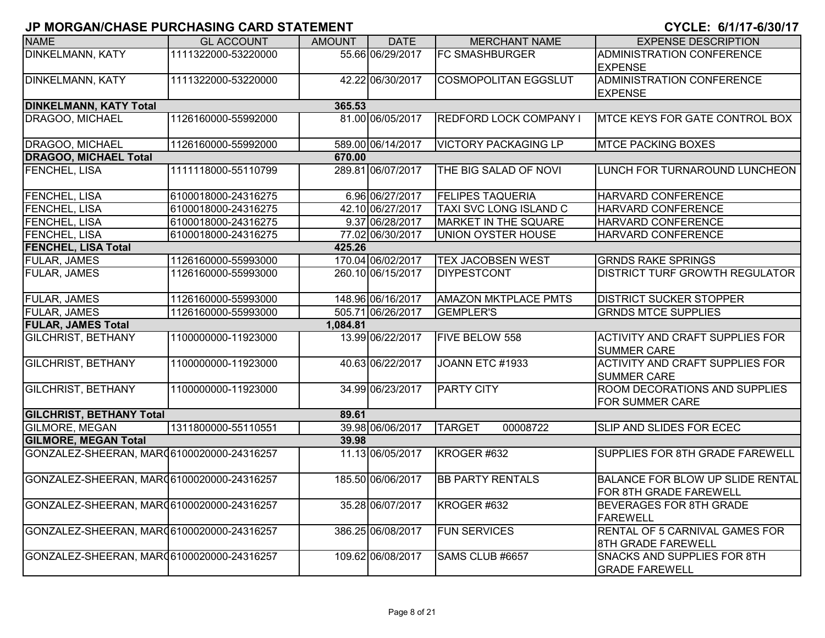| <b>NAME</b>                                | <b>GL ACCOUNT</b>   | <b>AMOUNT</b> | <b>DATE</b>       | <b>MERCHANT NAME</b>          | <b>EXPENSE DESCRIPTION</b>                                         |
|--------------------------------------------|---------------------|---------------|-------------------|-------------------------------|--------------------------------------------------------------------|
| <b>DINKELMANN, KATY</b>                    | 1111322000-53220000 |               | 55.66 06/29/2017  | <b>FC SMASHBURGER</b>         | ADMINISTRATION CONFERENCE<br><b>EXPENSE</b>                        |
| <b>DINKELMANN, KATY</b>                    | 1111322000-53220000 |               | 42.22 06/30/2017  | <b>COSMOPOLITAN EGGSLUT</b>   | <b>ADMINISTRATION CONFERENCE</b><br><b>EXPENSE</b>                 |
| <b>DINKELMANN, KATY Total</b>              |                     | 365.53        |                   |                               |                                                                    |
| DRAGOO, MICHAEL                            | 1126160000-55992000 |               | 81.00 06/05/2017  | <b>REDFORD LOCK COMPANY I</b> | <b>MTCE KEYS FOR GATE CONTROL BOX</b>                              |
| DRAGOO, MICHAEL                            | 1126160000-55992000 |               | 589.00 06/14/2017 | <b>VICTORY PACKAGING LP</b>   | <b>MTCE PACKING BOXES</b>                                          |
| <b>DRAGOO, MICHAEL Total</b>               |                     | 670.00        |                   |                               |                                                                    |
| FENCHEL, LISA                              | 1111118000-55110799 |               | 289.81 06/07/2017 | THE BIG SALAD OF NOVI         | LUNCH FOR TURNAROUND LUNCHEON                                      |
| <b>FENCHEL, LISA</b>                       | 6100018000-24316275 |               | 6.96 06/27/2017   | <b>FELIPES TAQUERIA</b>       | HARVARD CONFERENCE                                                 |
| FENCHEL, LISA                              | 6100018000-24316275 |               | 42.10 06/27/2017  | <b>TAXI SVC LONG ISLAND C</b> | HARVARD CONFERENCE                                                 |
| FENCHEL, LISA                              | 6100018000-24316275 |               | 9.37 06/28/2017   | MARKET IN THE SQUARE          | HARVARD CONFERENCE                                                 |
| FENCHEL, LISA                              | 6100018000-24316275 |               | 77.02 06/30/2017  | <b>UNION OYSTER HOUSE</b>     | HARVARD CONFERENCE                                                 |
| <b>FENCHEL, LISA Total</b>                 |                     | 425.26        |                   |                               |                                                                    |
| <b>FULAR, JAMES</b>                        | 1126160000-55993000 |               | 170.04 06/02/2017 | <b>TEX JACOBSEN WEST</b>      | <b>GRNDS RAKE SPRINGS</b>                                          |
| <b>FULAR, JAMES</b>                        | 1126160000-55993000 |               | 260.10 06/15/2017 | <b>DIYPESTCONT</b>            | DISTRICT TURF GROWTH REGULATOR                                     |
| <b>FULAR, JAMES</b>                        | 1126160000-55993000 |               | 148.96 06/16/2017 | <b>AMAZON MKTPLACE PMTS</b>   | <b>DISTRICT SUCKER STOPPER</b>                                     |
| <b>FULAR, JAMES</b>                        | 1126160000-55993000 |               | 505.71 06/26/2017 | <b>GEMPLER'S</b>              | <b>GRNDS MTCE SUPPLIES</b>                                         |
| <b>FULAR, JAMES Total</b>                  |                     | 1,084.81      |                   |                               |                                                                    |
| <b>GILCHRIST, BETHANY</b>                  | 1100000000-11923000 |               | 13.99 06/22/2017  | <b>FIVE BELOW 558</b>         | <b>ACTIVITY AND CRAFT SUPPLIES FOR</b><br><b>SUMMER CARE</b>       |
| <b>GILCHRIST, BETHANY</b>                  | 1100000000-11923000 |               | 40.63 06/22/2017  | JOANN ETC #1933               | <b>ACTIVITY AND CRAFT SUPPLIES FOR</b><br><b>SUMMER CARE</b>       |
| <b>GILCHRIST, BETHANY</b>                  | 1100000000-11923000 |               | 34.99 06/23/2017  | <b>PARTY CITY</b>             | ROOM DECORATIONS AND SUPPLIES<br>FOR SUMMER CARE                   |
| <b>GILCHRIST, BETHANY Total</b>            |                     | 89.61         |                   |                               |                                                                    |
| <b>GILMORE, MEGAN</b>                      | 1311800000-55110551 |               | 39.98 06/06/2017  | <b>TARGET</b><br>00008722     | SLIP AND SLIDES FOR ECEC                                           |
| <b>GILMORE, MEGAN Total</b>                |                     | 39.98         |                   |                               |                                                                    |
| GONZALEZ-SHEERAN, MAR (6100020000-24316257 |                     |               | 11.13 06/05/2017  | KROGER #632                   | SUPPLIES FOR 8TH GRADE FAREWELL                                    |
| GONZALEZ-SHEERAN, MAR06100020000-24316257  |                     |               | 185.50 06/06/2017 | <b>BB PARTY RENTALS</b>       | BALANCE FOR BLOW UP SLIDE RENTAL<br>FOR 8TH GRADE FAREWELL         |
| GONZALEZ-SHEERAN, MAR06100020000-24316257  |                     |               | 35.28 06/07/2017  | KROGER #632                   | BEVERAGES FOR 8TH GRADE<br><b>FAREWELL</b>                         |
| GONZALEZ-SHEERAN, MAR (6100020000-24316257 |                     |               | 386.25 06/08/2017 | <b>FUN SERVICES</b>           | <b>RENTAL OF 5 CARNIVAL GAMES FOR</b><br><b>8TH GRADE FAREWELL</b> |
| GONZALEZ-SHEERAN, MAR06100020000-24316257  |                     |               | 109.62 06/08/2017 | SAMS CLUB #6657               | <b>SNACKS AND SUPPLIES FOR 8TH</b><br><b>GRADE FAREWELL</b>        |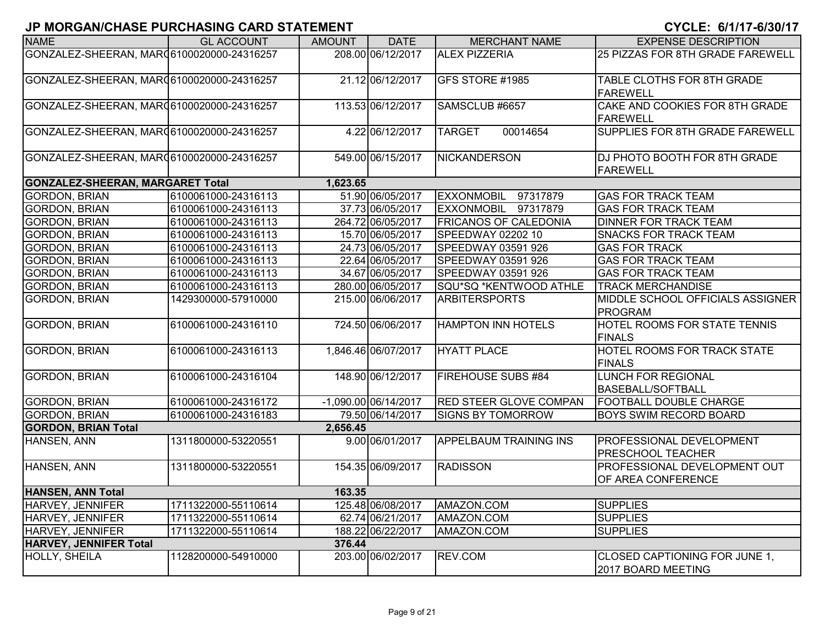| <b>NAME</b>                                | <b>GL ACCOUNT</b>   | <b>AMOUNT</b> | <b>DATE</b>            | <b>MERCHANT NAME</b>          | <b>EXPENSE DESCRIPTION</b>                            |
|--------------------------------------------|---------------------|---------------|------------------------|-------------------------------|-------------------------------------------------------|
| GONZALEZ-SHEERAN, MAR06100020000-24316257  |                     |               | 208.00 06/12/2017      | <b>ALEX PIZZERIA</b>          | 25 PIZZAS FOR 8TH GRADE FAREWELL                      |
| GONZALEZ-SHEERAN, MAR (6100020000-24316257 |                     |               | 21.12 06/12/2017       | GFS STORE #1985               | TABLE CLOTHS FOR 8TH GRADE<br><b>FAREWELL</b>         |
| GONZALEZ-SHEERAN, MAR 46100020000-24316257 |                     |               | 113.53 06/12/2017      | SAMSCLUB #6657                | CAKE AND COOKIES FOR 8TH GRADE<br><b>FAREWELL</b>     |
| GONZALEZ-SHEERAN, MAR06100020000-24316257  |                     |               | 4.22 06/12/2017        | 00014654<br><b>TARGET</b>     | SUPPLIES FOR 8TH GRADE FAREWELL                       |
| GONZALEZ-SHEERAN, MAR06100020000-24316257  |                     |               | 549.00 06/15/2017      | <b>NICKANDERSON</b>           | DJ PHOTO BOOTH FOR 8TH GRADE<br><b>FAREWELL</b>       |
| <b>GONZALEZ-SHEERAN, MARGARET Total</b>    |                     | 1,623.65      |                        |                               |                                                       |
| <b>GORDON, BRIAN</b>                       | 6100061000-24316113 |               | 51.90 06/05/2017       | <b>EXXONMOBIL</b><br>97317879 | <b>GAS FOR TRACK TEAM</b>                             |
| <b>GORDON, BRIAN</b>                       | 6100061000-24316113 |               | 37.73 06/05/2017       | EXXONMOBIL 97317879           | <b>GAS FOR TRACK TEAM</b>                             |
| <b>GORDON, BRIAN</b>                       | 6100061000-24316113 |               | 264.72 06/05/2017      | <b>FRICANOS OF CALEDONIA</b>  | DINNER FOR TRACK TEAM                                 |
| <b>GORDON, BRIAN</b>                       | 6100061000-24316113 |               | 15.70 06/05/2017       | SPEEDWAY 02202 10             | SNACKS FOR TRACK TEAM                                 |
| <b>GORDON, BRIAN</b>                       | 6100061000-24316113 |               | 24.73 06/05/2017       | SPEEDWAY 03591 926            | <b>GAS FOR TRACK</b>                                  |
| <b>GORDON, BRIAN</b>                       | 6100061000-24316113 |               | 22.64 06/05/2017       | SPEEDWAY 03591 926            | <b>GAS FOR TRACK TEAM</b>                             |
| <b>GORDON, BRIAN</b>                       | 6100061000-24316113 |               | 34.67 06/05/2017       | SPEEDWAY 03591 926            | <b>GAS FOR TRACK TEAM</b>                             |
| <b>GORDON, BRIAN</b>                       | 6100061000-24316113 |               | 280.00 06/05/2017      | SQU*SQ *KENTWOOD ATHLE        | <b>TRACK MERCHANDISE</b>                              |
| <b>GORDON, BRIAN</b>                       | 1429300000-57910000 |               | 215.00 06/06/2017      | <b>ARBITERSPORTS</b>          | MIDDLE SCHOOL OFFICIALS ASSIGNER<br><b>PROGRAM</b>    |
| <b>GORDON, BRIAN</b>                       | 6100061000-24316110 |               | 724.50 06/06/2017      | <b>HAMPTON INN HOTELS</b>     | HOTEL ROOMS FOR STATE TENNIS<br><b>FINALS</b>         |
| <b>GORDON, BRIAN</b>                       | 6100061000-24316113 |               | 1,846.46 06/07/2017    | <b>HYATT PLACE</b>            | HOTEL ROOMS FOR TRACK STATE<br><b>FINALS</b>          |
| <b>GORDON, BRIAN</b>                       | 6100061000-24316104 |               | 148.90 06/12/2017      | <b>FIREHOUSE SUBS #84</b>     | <b>LUNCH FOR REGIONAL</b><br><b>BASEBALL/SOFTBALL</b> |
| <b>GORDON, BRIAN</b>                       | 6100061000-24316172 |               | $-1,090.00$ 06/14/2017 | <b>RED STEER GLOVE COMPAN</b> | FOOTBALL DOUBLE CHARGE                                |
| <b>GORDON, BRIAN</b>                       | 6100061000-24316183 |               | 79.50 06/14/2017       | <b>SIGNS BY TOMORROW</b>      | <b>BOYS SWIM RECORD BOARD</b>                         |
| <b>GORDON, BRIAN Total</b>                 |                     | 2,656.45      |                        |                               |                                                       |
| HANSEN, ANN                                | 1311800000-53220551 |               | 9.00 06/01/2017        | <b>APPELBAUM TRAINING INS</b> | PROFESSIONAL DEVELOPMENT<br>PRESCHOOL TEACHER         |
| <b>HANSEN, ANN</b>                         | 1311800000-53220551 |               | 154.35 06/09/2017      | <b>RADISSON</b>               | PROFESSIONAL DEVELOPMENT OUT<br>OF AREA CONFERENCE    |
| <b>HANSEN, ANN Total</b>                   |                     | 163.35        |                        |                               |                                                       |
| HARVEY, JENNIFER                           | 1711322000-55110614 |               | 125.48 06/08/2017      | AMAZON.COM                    | <b>SUPPLIES</b>                                       |
| HARVEY, JENNIFER                           | 1711322000-55110614 |               | 62.74 06/21/2017       | AMAZON.COM                    | <b>SUPPLIES</b>                                       |
| HARVEY, JENNIFER                           | 1711322000-55110614 |               | 188.22 06/22/2017      | AMAZON.COM                    | <b>SUPPLIES</b>                                       |
| <b>HARVEY, JENNIFER Total</b>              |                     | 376.44        |                        |                               |                                                       |
| <b>HOLLY, SHEILA</b>                       | 1128200000-54910000 |               | 203.00 06/02/2017      | REV.COM                       | CLOSED CAPTIONING FOR JUNE 1,<br>2017 BOARD MEETING   |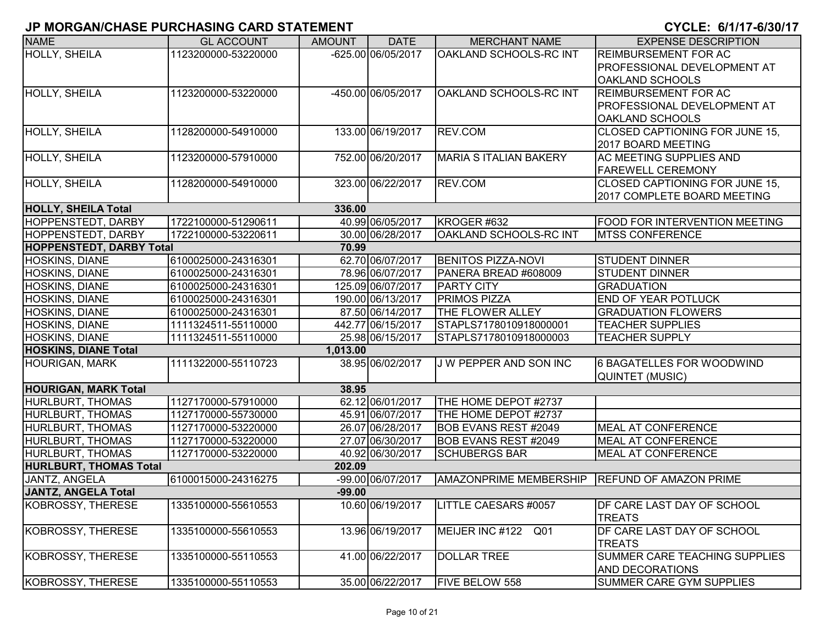| <b>NAME</b>                     | <b>GL ACCOUNT</b>   | <b>AMOUNT</b> | <b>DATE</b>        | <b>MERCHANT NAME</b>                            | <b>EXPENSE DESCRIPTION</b>            |
|---------------------------------|---------------------|---------------|--------------------|-------------------------------------------------|---------------------------------------|
|                                 |                     |               | -625.00 06/05/2017 | OAKLAND SCHOOLS-RC INT                          | <b>REIMBURSEMENT FOR AC</b>           |
| <b>HOLLY, SHEILA</b>            | 1123200000-53220000 |               |                    |                                                 |                                       |
|                                 |                     |               |                    |                                                 | <b>PROFESSIONAL DEVELOPMENT AT</b>    |
|                                 |                     |               |                    |                                                 | <b>OAKLAND SCHOOLS</b>                |
| <b>HOLLY, SHEILA</b>            | 1123200000-53220000 |               | -450.00 06/05/2017 | OAKLAND SCHOOLS-RC INT                          | <b>REIMBURSEMENT FOR AC</b>           |
|                                 |                     |               |                    |                                                 | <b>PROFESSIONAL DEVELOPMENT AT</b>    |
|                                 |                     |               |                    |                                                 | <b>OAKLAND SCHOOLS</b>                |
| <b>HOLLY, SHEILA</b>            | 1128200000-54910000 |               | 133.00 06/19/2017  | REV.COM                                         | <b>CLOSED CAPTIONING FOR JUNE 15,</b> |
|                                 |                     |               |                    |                                                 | 2017 BOARD MEETING                    |
| HOLLY, SHEILA                   | 1123200000-57910000 |               | 752.00 06/20/2017  | <b>MARIA S ITALIAN BAKERY</b>                   | AC MEETING SUPPLIES AND               |
|                                 |                     |               |                    |                                                 | <b>FAREWELL CEREMONY</b>              |
| <b>HOLLY, SHEILA</b>            | 1128200000-54910000 |               | 323.00 06/22/2017  | REV.COM                                         | <b>CLOSED CAPTIONING FOR JUNE 15,</b> |
|                                 |                     |               |                    |                                                 | 2017 COMPLETE BOARD MEETING           |
| <b>HOLLY, SHEILA Total</b>      |                     | 336.00        |                    |                                                 |                                       |
| <b>HOPPENSTEDT, DARBY</b>       | 1722100000-51290611 |               | 40.99 06/05/2017   | KROGER #632                                     | <b>FOOD FOR INTERVENTION MEETING</b>  |
| <b>HOPPENSTEDT, DARBY</b>       | 1722100000-53220611 |               | 30.00 06/28/2017   | OAKLAND SCHOOLS-RC INT                          | <b>MTSS CONFERENCE</b>                |
| <b>HOPPENSTEDT, DARBY Total</b> |                     | 70.99         |                    |                                                 |                                       |
| HOSKINS, DIANE                  | 6100025000-24316301 |               | 62.70 06/07/2017   | <b>BENITOS PIZZA-NOVI</b>                       | <b>STUDENT DINNER</b>                 |
| HOSKINS, DIANE                  | 6100025000-24316301 |               | 78.96 06/07/2017   | PANERA BREAD #608009                            | <b>STUDENT DINNER</b>                 |
| <b>HOSKINS, DIANE</b>           | 6100025000-24316301 |               | 125.09 06/07/2017  | <b>PARTY CITY</b>                               | <b>GRADUATION</b>                     |
| <b>HOSKINS, DIANE</b>           | 6100025000-24316301 |               | 190.00 06/13/2017  | <b>PRIMOS PIZZA</b>                             | <b>END OF YEAR POTLUCK</b>            |
| <b>HOSKINS, DIANE</b>           | 6100025000-24316301 |               | 87.50 06/14/2017   | THE FLOWER ALLEY                                | <b>GRADUATION FLOWERS</b>             |
| HOSKINS, DIANE                  | 1111324511-55110000 |               | 442.77 06/15/2017  | STAPLS7178010918000001                          | <b>TEACHER SUPPLIES</b>               |
| HOSKINS, DIANE                  | 1111324511-55110000 |               | 25.98 06/15/2017   | STAPLS7178010918000003                          | <b>TEACHER SUPPLY</b>                 |
| <b>HOSKINS, DIANE Total</b>     |                     | 1,013.00      |                    |                                                 |                                       |
| <b>HOURIGAN, MARK</b>           | 1111322000-55110723 |               | 38.95 06/02/2017   | J W PEPPER AND SON INC                          | 6 BAGATELLES FOR WOODWIND             |
|                                 |                     |               |                    |                                                 | <b>QUINTET (MUSIC)</b>                |
| <b>HOURIGAN, MARK Total</b>     |                     | 38.95         |                    |                                                 |                                       |
| HURLBURT, THOMAS                | 1127170000-57910000 |               | 62.12 06/01/2017   | THE HOME DEPOT #2737                            |                                       |
| <b>HURLBURT, THOMAS</b>         | 1127170000-55730000 |               | 45.91 06/07/2017   | THE HOME DEPOT #2737                            |                                       |
| <b>HURLBURT, THOMAS</b>         | 1127170000-53220000 |               | 26.07 06/28/2017   | <b>BOB EVANS REST #2049</b>                     | <b>MEAL AT CONFERENCE</b>             |
| <b>HURLBURT, THOMAS</b>         | 1127170000-53220000 |               | 27.07 06/30/2017   | <b>BOB EVANS REST #2049</b>                     | <b>MEAL AT CONFERENCE</b>             |
| HURLBURT, THOMAS                | 1127170000-53220000 |               | 40.92 06/30/2017   | <b>SCHUBERGS BAR</b>                            | <b>MEAL AT CONFERENCE</b>             |
| <b>HURLBURT, THOMAS Total</b>   |                     | 202.09        |                    |                                                 |                                       |
| <b>JANTZ, ANGELA</b>            | 6100015000-24316275 |               | -99.00 06/07/2017  | AMAZONPRIME MEMBERSHIP   REFUND OF AMAZON PRIME |                                       |
| <b>JANTZ, ANGELA Total</b>      |                     | $-99.00$      |                    |                                                 |                                       |
| <b>KOBROSSY, THERESE</b>        | 1335100000-55610553 |               | 10.60 06/19/2017   | LITTLE CAESARS #0057                            | <b>IDF CARE LAST DAY OF SCHOOL</b>    |
|                                 |                     |               |                    |                                                 | <b>TREATS</b>                         |
| KOBROSSY, THERESE               | 1335100000-55610553 |               | 13.96 06/19/2017   | MEIJER INC #122 Q01                             | DF CARE LAST DAY OF SCHOOL            |
|                                 |                     |               |                    |                                                 | <b>TREATS</b>                         |
| KOBROSSY, THERESE               | 1335100000-55110553 |               | 41.00 06/22/2017   | <b>DOLLAR TREE</b>                              | SUMMER CARE TEACHING SUPPLIES         |
|                                 |                     |               |                    |                                                 | <b>AND DECORATIONS</b>                |
| KOBROSSY, THERESE               | 1335100000-55110553 |               | 35.00 06/22/2017   | <b>FIVE BELOW 558</b>                           | SUMMER CARE GYM SUPPLIES              |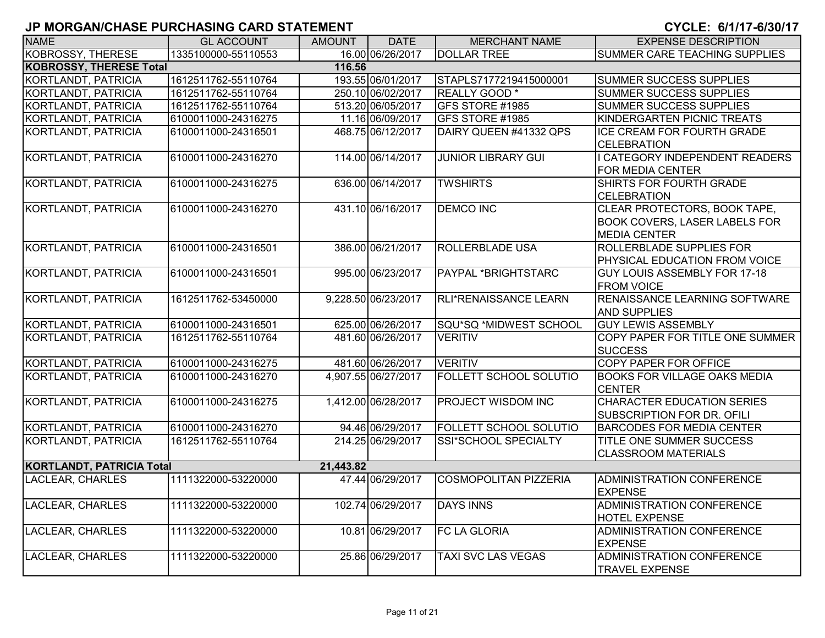| <b>NAME</b>                      | <b>GL ACCOUNT</b>   | <b>AMOUNT</b> | <b>DATE</b>         | <b>MERCHANT NAME</b>          | <b>EXPENSE DESCRIPTION</b>                                                                  |
|----------------------------------|---------------------|---------------|---------------------|-------------------------------|---------------------------------------------------------------------------------------------|
| <b>KOBROSSY, THERESE</b>         | 1335100000-55110553 |               | 16.00 06/26/2017    | <b>DOLLAR TREE</b>            | SUMMER CARE TEACHING SUPPLIES                                                               |
| <b>KOBROSSY, THERESE Total</b>   |                     | 116.56        |                     |                               |                                                                                             |
| <b>KORTLANDT, PATRICIA</b>       | 1612511762-55110764 |               | 193.55 06/01/2017   | STAPLS7177219415000001        | <b>SUMMER SUCCESS SUPPLIES</b>                                                              |
| KORTLANDT, PATRICIA              | 1612511762-55110764 |               | 250.10 06/02/2017   | REALLY GOOD <sup>*</sup>      | <b>SUMMER SUCCESS SUPPLIES</b>                                                              |
| KORTLANDT, PATRICIA              | 1612511762-55110764 |               | 513.20 06/05/2017   | GFS STORE #1985               | <b>SUMMER SUCCESS SUPPLIES</b>                                                              |
| <b>KORTLANDT, PATRICIA</b>       | 6100011000-24316275 |               | 11.16 06/09/2017    | GFS STORE #1985               | KINDERGARTEN PICNIC TREATS                                                                  |
| KORTLANDT, PATRICIA              | 6100011000-24316501 |               | 468.75 06/12/2017   | DAIRY QUEEN #41332 QPS        | ICE CREAM FOR FOURTH GRADE<br><b>CELEBRATION</b>                                            |
| KORTLANDT, PATRICIA              | 6100011000-24316270 |               | 114.00 06/14/2017   | <b>JUNIOR LIBRARY GUI</b>     | I CATEGORY INDEPENDENT READERS<br>FOR MEDIA CENTER                                          |
| KORTLANDT, PATRICIA              | 6100011000-24316275 |               | 636.00 06/14/2017   | <b>TWSHIRTS</b>               | SHIRTS FOR FOURTH GRADE<br><b>CELEBRATION</b>                                               |
| KORTLANDT, PATRICIA              | 6100011000-24316270 |               | 431.10 06/16/2017   | <b>DEMCO INC</b>              | CLEAR PROTECTORS, BOOK TAPE,<br><b>BOOK COVERS, LASER LABELS FOR</b><br><b>MEDIA CENTER</b> |
| KORTLANDT, PATRICIA              | 6100011000-24316501 |               | 386.00 06/21/2017   | ROLLERBLADE USA               | ROLLERBLADE SUPPLIES FOR<br>PHYSICAL EDUCATION FROM VOICE                                   |
| KORTLANDT, PATRICIA              | 6100011000-24316501 |               | 995.00 06/23/2017   | PAYPAL *BRIGHTSTARC           | <b>GUY LOUIS ASSEMBLY FOR 17-18</b><br><b>FROM VOICE</b>                                    |
| KORTLANDT, PATRICIA              | 1612511762-53450000 |               | 9,228.50 06/23/2017 | <b>RLI*RENAISSANCE LEARN</b>  | RENAISSANCE LEARNING SOFTWARE<br><b>AND SUPPLIES</b>                                        |
| KORTLANDT, PATRICIA              | 6100011000-24316501 |               | 625.00 06/26/2017   | SQU*SQ *MIDWEST SCHOOL        | <b>GUY LEWIS ASSEMBLY</b>                                                                   |
| <b>KORTLANDT, PATRICIA</b>       | 1612511762-55110764 |               | 481.60 06/26/2017   | <b>VERITIV</b>                | COPY PAPER FOR TITLE ONE SUMMER<br><b>SUCCESS</b>                                           |
| <b>KORTLANDT, PATRICIA</b>       | 6100011000-24316275 |               | 481.60 06/26/2017   | <b>VERITIV</b>                | <b>COPY PAPER FOR OFFICE</b>                                                                |
| KORTLANDT, PATRICIA              | 6100011000-24316270 |               | 4,907.55 06/27/2017 | <b>FOLLETT SCHOOL SOLUTIO</b> | <b>BOOKS FOR VILLAGE OAKS MEDIA</b><br><b>CENTER</b>                                        |
| KORTLANDT, PATRICIA              | 6100011000-24316275 |               | 1,412.00 06/28/2017 | PROJECT WISDOM INC            | <b>CHARACTER EDUCATION SERIES</b><br>SUBSCRIPTION FOR DR. OFILI                             |
| <b>KORTLANDT, PATRICIA</b>       | 6100011000-24316270 |               | 94.46 06/29/2017    | FOLLETT SCHOOL SOLUTIO        | <b>BARCODES FOR MEDIA CENTER</b>                                                            |
| KORTLANDT, PATRICIA              | 1612511762-55110764 |               | 214.25 06/29/2017   | SSI*SCHOOL SPECIALTY          | TITLE ONE SUMMER SUCCESS<br><b>CLASSROOM MATERIALS</b>                                      |
| <b>KORTLANDT, PATRICIA Total</b> |                     | 21,443.82     |                     |                               |                                                                                             |
| <b>LACLEAR, CHARLES</b>          | 1111322000-53220000 |               | 47.44 06/29/2017    | <b>COSMOPOLITAN PIZZERIA</b>  | ADMINISTRATION CONFERENCE<br><b>EXPENSE</b>                                                 |
| <b>LACLEAR, CHARLES</b>          | 1111322000-53220000 |               | 102.74 06/29/2017   | <b>DAYS INNS</b>              | <b>ADMINISTRATION CONFERENCE</b><br>HOTEL EXPENSE                                           |
| <b>LACLEAR, CHARLES</b>          | 1111322000-53220000 |               | 10.81 06/29/2017    | <b>FC LA GLORIA</b>           | ADMINISTRATION CONFERENCE<br><b>EXPENSE</b>                                                 |
| <b>LACLEAR, CHARLES</b>          | 1111322000-53220000 |               | 25.86 06/29/2017    | TAXI SVC LAS VEGAS            | <b>ADMINISTRATION CONFERENCE</b><br><b>TRAVEL EXPENSE</b>                                   |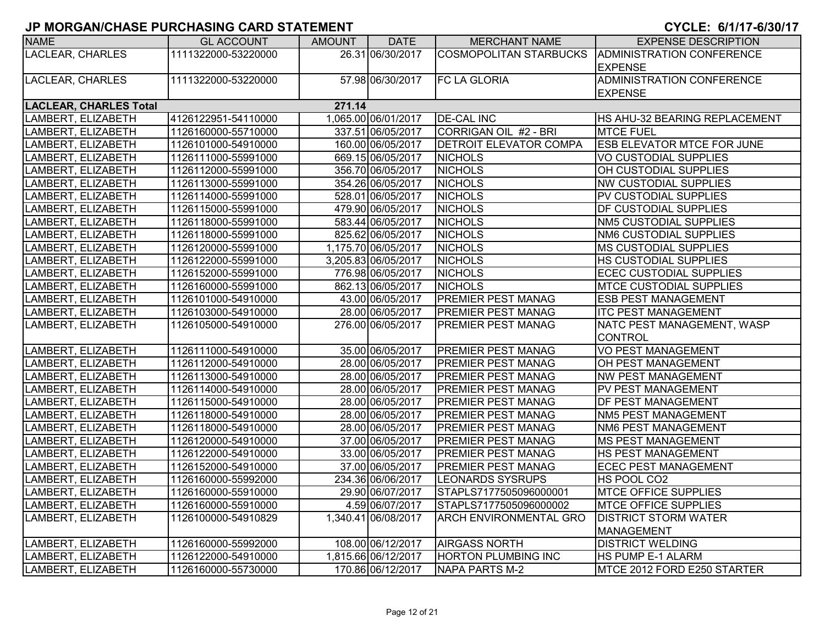| <b>NAME</b>                             | <b>GL ACCOUNT</b>   | AMOUNT | <b>DATE</b>         | <b>MERCHANT NAME</b>          | <b>EXPENSE DESCRIPTION</b>                       |  |  |  |  |
|-----------------------------------------|---------------------|--------|---------------------|-------------------------------|--------------------------------------------------|--|--|--|--|
| LACLEAR, CHARLES                        | 1111322000-53220000 |        | 26.31 06/30/2017    |                               | COSMOPOLITAN STARBUCKS ADMINISTRATION CONFERENCE |  |  |  |  |
|                                         |                     |        |                     |                               | <b>EXPENSE</b>                                   |  |  |  |  |
| <b>LACLEAR, CHARLES</b>                 | 1111322000-53220000 |        | 57.98 06/30/2017    | <b>FC LA GLORIA</b>           | <b>ADMINISTRATION CONFERENCE</b>                 |  |  |  |  |
|                                         |                     |        |                     |                               | <b>EXPENSE</b>                                   |  |  |  |  |
| <b>LACLEAR, CHARLES Total</b><br>271.14 |                     |        |                     |                               |                                                  |  |  |  |  |
| LAMBERT, ELIZABETH                      | 4126122951-54110000 |        | 1,065.00 06/01/2017 | <b>DE-CAL INC</b>             | HS AHU-32 BEARING REPLACEMENT                    |  |  |  |  |
| LAMBERT, ELIZABETH                      | 1126160000-55710000 |        | 337.51 06/05/2017   | CORRIGAN OIL #2 - BRI         | <b>MTCE FUEL</b>                                 |  |  |  |  |
| LAMBERT, ELIZABETH                      | 1126101000-54910000 |        | 160.00 06/05/2017   | <b>DETROIT ELEVATOR COMPA</b> | <b>ESB ELEVATOR MTCE FOR JUNE</b>                |  |  |  |  |
| LAMBERT, ELIZABETH                      | 1126111000-55991000 |        | 669.15 06/05/2017   | <b>NICHOLS</b>                | <b>VO CUSTODIAL SUPPLIES</b>                     |  |  |  |  |
| LAMBERT, ELIZABETH                      | 1126112000-55991000 |        | 356.70 06/05/2017   | <b>NICHOLS</b>                | OH CUSTODIAL SUPPLIES                            |  |  |  |  |
| LAMBERT, ELIZABETH                      | 1126113000-55991000 |        | 354.26 06/05/2017   | <b>NICHOLS</b>                | <b>NW CUSTODIAL SUPPLIES</b>                     |  |  |  |  |
| LAMBERT, ELIZABETH                      | 1126114000-55991000 |        | 528.01 06/05/2017   | <b>NICHOLS</b>                | <b>PV CUSTODIAL SUPPLIES</b>                     |  |  |  |  |
| LAMBERT, ELIZABETH                      | 1126115000-55991000 |        | 479.90 06/05/2017   | <b>NICHOLS</b>                | DF CUSTODIAL SUPPLIES                            |  |  |  |  |
| LAMBERT, ELIZABETH                      | 1126118000-55991000 |        | 583.44 06/05/2017   | <b>NICHOLS</b>                | <b>NM5 CUSTODIAL SUPPLIES</b>                    |  |  |  |  |
| LAMBERT, ELIZABETH                      | 1126118000-55991000 |        | 825.62 06/05/2017   | <b>NICHOLS</b>                | NM6 CUSTODIAL SUPPLIES                           |  |  |  |  |
| LAMBERT, ELIZABETH                      | 1126120000-55991000 |        | 1,175.70 06/05/2017 | <b>NICHOLS</b>                | <b>MS CUSTODIAL SUPPLIES</b>                     |  |  |  |  |
| LAMBERT, ELIZABETH                      | 1126122000-55991000 |        | 3,205.83 06/05/2017 | <b>NICHOLS</b>                | <b>HS CUSTODIAL SUPPLIES</b>                     |  |  |  |  |
| LAMBERT, ELIZABETH                      | 1126152000-55991000 |        | 776.98 06/05/2017   | <b>NICHOLS</b>                | <b>ECEC CUSTODIAL SUPPLIES</b>                   |  |  |  |  |
| LAMBERT, ELIZABETH                      | 1126160000-55991000 |        | 862.13 06/05/2017   | <b>NICHOLS</b>                | <b>MTCE CUSTODIAL SUPPLIES</b>                   |  |  |  |  |
| LAMBERT, ELIZABETH                      | 1126101000-54910000 |        | 43.00 06/05/2017    | <b>PREMIER PEST MANAG</b>     | <b>ESB PEST MANAGEMENT</b>                       |  |  |  |  |
| LAMBERT, ELIZABETH                      | 1126103000-54910000 |        | 28.00 06/05/2017    | <b>PREMIER PEST MANAG</b>     | <b>ITC PEST MANAGEMENT</b>                       |  |  |  |  |
| LAMBERT, ELIZABETH                      | 1126105000-54910000 |        | 276.00 06/05/2017   | <b>PREMIER PEST MANAG</b>     | NATC PEST MANAGEMENT, WASP                       |  |  |  |  |
|                                         |                     |        |                     |                               | <b>CONTROL</b>                                   |  |  |  |  |
| LAMBERT, ELIZABETH                      | 1126111000-54910000 |        | 35.00 06/05/2017    | <b>PREMIER PEST MANAG</b>     | <b>VO PEST MANAGEMENT</b>                        |  |  |  |  |
| LAMBERT, ELIZABETH                      | 1126112000-54910000 |        | 28.00 06/05/2017    | <b>PREMIER PEST MANAG</b>     | <b>OH PEST MANAGEMENT</b>                        |  |  |  |  |
| LAMBERT, ELIZABETH                      | 1126113000-54910000 |        | 28.00 06/05/2017    | <b>PREMIER PEST MANAG</b>     | <b>NW PEST MANAGEMENT</b>                        |  |  |  |  |
| LAMBERT, ELIZABETH                      | 1126114000-54910000 |        | 28.00 06/05/2017    | PREMIER PEST MANAG            | PV PEST MANAGEMENT                               |  |  |  |  |
| LAMBERT, ELIZABETH                      | 1126115000-54910000 |        | 28.00 06/05/2017    | <b>PREMIER PEST MANAG</b>     | <b>DF PEST MANAGEMENT</b>                        |  |  |  |  |
| LAMBERT, ELIZABETH                      | 1126118000-54910000 |        | 28.00 06/05/2017    | <b>PREMIER PEST MANAG</b>     | NM5 PEST MANAGEMENT                              |  |  |  |  |
| LAMBERT, ELIZABETH                      | 1126118000-54910000 |        | 28.00 06/05/2017    | <b>PREMIER PEST MANAG</b>     | <b>NM6 PEST MANAGEMENT</b>                       |  |  |  |  |
| LAMBERT, ELIZABETH                      | 1126120000-54910000 |        | 37.00 06/05/2017    | <b>PREMIER PEST MANAG</b>     | <b>MS PEST MANAGEMENT</b>                        |  |  |  |  |
| LAMBERT, ELIZABETH                      | 1126122000-54910000 |        | 33.00 06/05/2017    | <b>PREMIER PEST MANAG</b>     | HS PEST MANAGEMENT                               |  |  |  |  |
| LAMBERT, ELIZABETH                      | 1126152000-54910000 |        | 37.00 06/05/2017    | <b>PREMIER PEST MANAG</b>     | <b>ECEC PEST MANAGEMENT</b>                      |  |  |  |  |
| LAMBERT, ELIZABETH                      | 1126160000-55992000 |        | 234.36 06/06/2017   | LEONARDS SYSRUPS              | HS POOL CO2                                      |  |  |  |  |
| LAMBERT, ELIZABETH                      | 1126160000-55910000 |        | 29.90 06/07/2017    | STAPLS7177505096000001        | <b>MTCE OFFICE SUPPLIES</b>                      |  |  |  |  |
| LAMBERT, ELIZABETH                      | 1126160000-55910000 |        | 4.59 06/07/2017     | STAPLS7177505096000002        | <b>IMTCE OFFICE SUPPLIES</b>                     |  |  |  |  |
| LAMBERT, ELIZABETH                      | 1126100000-54910829 |        | 1,340.41 06/08/2017 | <b>ARCH ENVIRONMENTAL GRO</b> | <b>DISTRICT STORM WATER</b>                      |  |  |  |  |
|                                         |                     |        |                     |                               | <b>MANAGEMENT</b>                                |  |  |  |  |
| LAMBERT, ELIZABETH                      | 1126160000-55992000 |        | 108.00 06/12/2017   | <b>AIRGASS NORTH</b>          | <b>DISTRICT WELDING</b>                          |  |  |  |  |
| LAMBERT, ELIZABETH                      | 1126122000-54910000 |        | 1,815.66 06/12/2017 | <b>HORTON PLUMBING INC</b>    | HS PUMP E-1 ALARM                                |  |  |  |  |
| LAMBERT, ELIZABETH                      | 1126160000-55730000 |        | 170.86 06/12/2017   | NAPA PARTS M-2                | MTCE 2012 FORD E250 STARTER                      |  |  |  |  |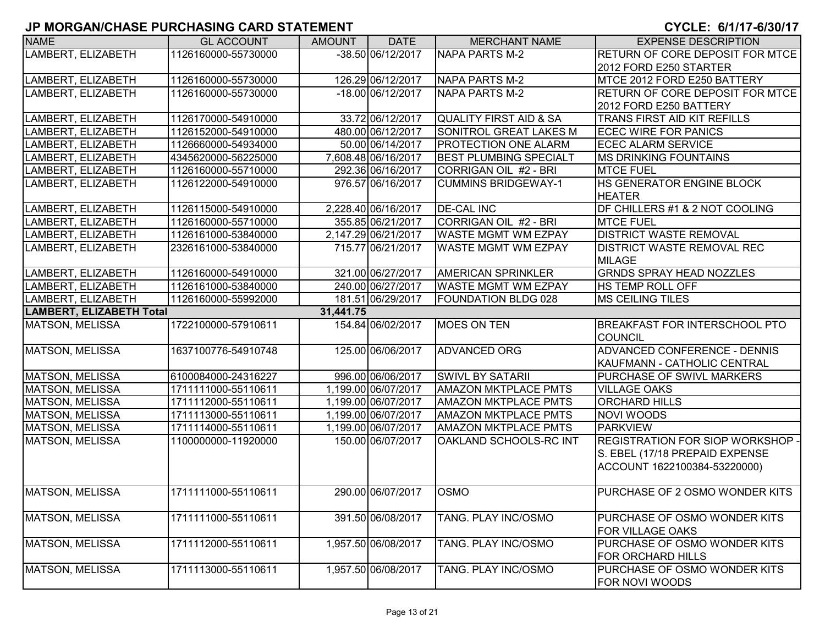| <b>NAME</b>              | <b>GL ACCOUNT</b>   | <b>AMOUNT</b> | <b>DATE</b>         | <b>MERCHANT NAME</b>              | <b>EXPENSE DESCRIPTION</b>             |
|--------------------------|---------------------|---------------|---------------------|-----------------------------------|----------------------------------------|
| LAMBERT, ELIZABETH       | 1126160000-55730000 |               | -38.50 06/12/2017   | NAPA PARTS M-2                    | <b>RETURN OF CORE DEPOSIT FOR MTCE</b> |
|                          |                     |               |                     |                                   | 2012 FORD E250 STARTER                 |
| LAMBERT, ELIZABETH       | 1126160000-55730000 |               | 126.29 06/12/2017   | NAPA PARTS M-2                    | MTCE 2012 FORD E250 BATTERY            |
| LAMBERT, ELIZABETH       | 1126160000-55730000 |               | -18.00 06/12/2017   | <b>INAPA PARTS M-2</b>            | <b>RETURN OF CORE DEPOSIT FOR MTCE</b> |
|                          |                     |               |                     |                                   | 2012 FORD E250 BATTERY                 |
| LAMBERT, ELIZABETH       | 1126170000-54910000 |               | 33.72 06/12/2017    | <b>QUALITY FIRST AID &amp; SA</b> | TRANS FIRST AID KIT REFILLS            |
| LAMBERT, ELIZABETH       | 1126152000-54910000 |               | 480.00 06/12/2017   | SONITROL GREAT LAKES M            | <b>ECEC WIRE FOR PANICS</b>            |
| LAMBERT, ELIZABETH       | 1126660000-54934000 |               | 50.00 06/14/2017    | <b>PROTECTION ONE ALARM</b>       | <b>ECEC ALARM SERVICE</b>              |
| LAMBERT, ELIZABETH       | 4345620000-56225000 |               | 7,608.48 06/16/2017 | <b>BEST PLUMBING SPECIALT</b>     | <b>MS DRINKING FOUNTAINS</b>           |
| LAMBERT, ELIZABETH       | 1126160000-55710000 |               | 292.36 06/16/2017   | CORRIGAN OIL #2 - BRI             | <b>MTCE FUEL</b>                       |
| LAMBERT, ELIZABETH       | 1126122000-54910000 |               | 976.57 06/16/2017   | <b>CUMMINS BRIDGEWAY-1</b>        | HS GENERATOR ENGINE BLOCK              |
|                          |                     |               |                     |                                   | <b>HEATER</b>                          |
| LAMBERT, ELIZABETH       | 1126115000-54910000 |               | 2,228.40 06/16/2017 | <b>DE-CAL INC</b>                 | DF CHILLERS #1 & 2 NOT COOLING         |
| LAMBERT, ELIZABETH       | 1126160000-55710000 |               | 355.85 06/21/2017   | CORRIGAN OIL #2 - BRI             | <b>MTCE FUEL</b>                       |
| LAMBERT, ELIZABETH       | 1126161000-53840000 |               | 2,147.29 06/21/2017 | <b>WASTE MGMT WM EZPAY</b>        | <b>DISTRICT WASTE REMOVAL</b>          |
| LAMBERT, ELIZABETH       | 2326161000-53840000 |               | 715.77 06/21/2017   | WASTE MGMT WM EZPAY               | <b>DISTRICT WASTE REMOVAL REC</b>      |
|                          |                     |               |                     |                                   | <b>MILAGE</b>                          |
| LAMBERT, ELIZABETH       | 1126160000-54910000 |               | 321.00 06/27/2017   | <b>AMERICAN SPRINKLER</b>         | <b>GRNDS SPRAY HEAD NOZZLES</b>        |
| LAMBERT, ELIZABETH       | 1126161000-53840000 |               | 240.00 06/27/2017   | <b>WASTE MGMT WM EZPAY</b>        | <b>HS TEMP ROLL OFF</b>                |
| LAMBERT, ELIZABETH       | 1126160000-55992000 |               | 181.51 06/29/2017   | <b>FOUNDATION BLDG 028</b>        | MS CEILING TILES                       |
| LAMBERT, ELIZABETH Total |                     | 31,441.75     |                     |                                   |                                        |
| <b>MATSON, MELISSA</b>   | 1722100000-57910611 |               | 154.84 06/02/2017   | <b>MOES ON TEN</b>                | <b>BREAKFAST FOR INTERSCHOOL PTO</b>   |
|                          |                     |               |                     |                                   | COUNCIL                                |
| MATSON, MELISSA          | 1637100776-54910748 |               | 125.00 06/06/2017   | <b>ADVANCED ORG</b>               | ADVANCED CONFERENCE - DENNIS           |
|                          |                     |               |                     |                                   | KAUFMANN - CATHOLIC CENTRAL            |
| MATSON, MELISSA          | 6100084000-24316227 |               | 996.00 06/06/2017   | <b>SWIVL BY SATARII</b>           | PURCHASE OF SWIVL MARKERS              |
| <b>MATSON, MELISSA</b>   | 1711111000-55110611 |               | 1.199.00 06/07/2017 | <b>AMAZON MKTPLACE PMTS</b>       | <b>VILLAGE OAKS</b>                    |
| <b>MATSON, MELISSA</b>   | 1711112000-55110611 |               | 1,199.00 06/07/2017 | <b>AMAZON MKTPLACE PMTS</b>       | <b>ORCHARD HILLS</b>                   |
| <b>MATSON, MELISSA</b>   | 1711113000-55110611 |               | 1,199.00 06/07/2017 | <b>AMAZON MKTPLACE PMTS</b>       | <b>NOVI WOODS</b>                      |
| <b>MATSON, MELISSA</b>   | 1711114000-55110611 |               | 1,199.00 06/07/2017 | <b>AMAZON MKTPLACE PMTS</b>       | <b>PARKVIEW</b>                        |
| <b>MATSON, MELISSA</b>   | 1100000000-11920000 |               | 150.00 06/07/2017   | OAKLAND SCHOOLS-RC INT            | REGISTRATION FOR SIOP WORKSHOP -       |
|                          |                     |               |                     |                                   | S. EBEL (17/18 PREPAID EXPENSE         |
|                          |                     |               |                     |                                   | ACCOUNT 1622100384-53220000)           |
|                          |                     |               |                     |                                   |                                        |
| <b>MATSON, MELISSA</b>   | 1711111000-55110611 |               | 290.00 06/07/2017   | <b>OSMO</b>                       | PURCHASE OF 2 OSMO WONDER KITS         |
|                          |                     |               |                     |                                   |                                        |
| <b>MATSON, MELISSA</b>   | 1711111000-55110611 |               | 391.50 06/08/2017   | TANG. PLAY INC/OSMO               | PURCHASE OF OSMO WONDER KITS           |
|                          |                     |               |                     |                                   | <b>FOR VILLAGE OAKS</b>                |
| <b>MATSON, MELISSA</b>   | 1711112000-55110611 |               | 1,957.50 06/08/2017 | TANG. PLAY INC/OSMO               | PURCHASE OF OSMO WONDER KITS           |
|                          |                     |               |                     |                                   | <b>FOR ORCHARD HILLS</b>               |
| <b>MATSON, MELISSA</b>   | 1711113000-55110611 |               | 1,957.50 06/08/2017 | TANG. PLAY INC/OSMO               | PURCHASE OF OSMO WONDER KITS           |
|                          |                     |               |                     |                                   | FOR NOVI WOODS                         |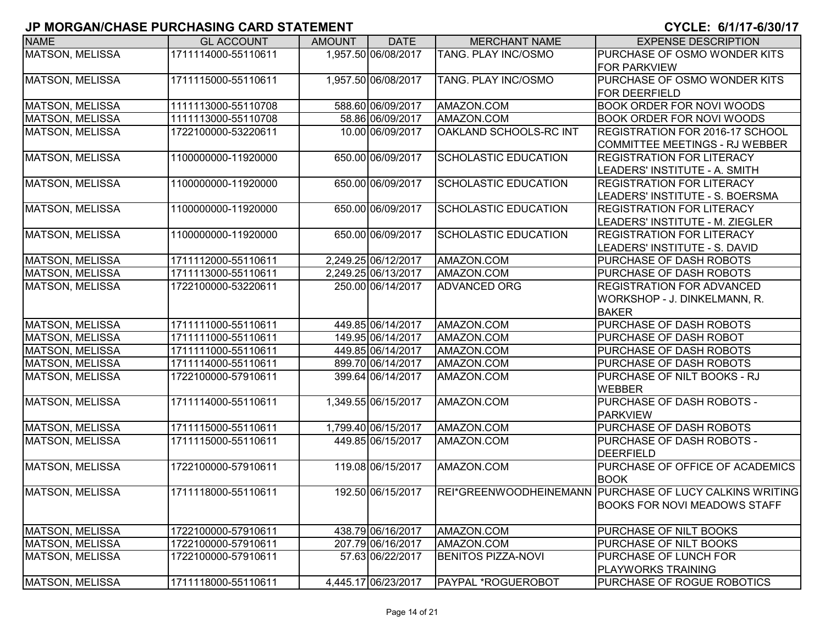| <b>NAME</b>            | <b>GL ACCOUNT</b>   | <b>AMOUNT</b> | <b>DATE</b>         | <b>MERCHANT NAME</b>        | <b>EXPENSE DESCRIPTION</b>                              |
|------------------------|---------------------|---------------|---------------------|-----------------------------|---------------------------------------------------------|
| <b>MATSON, MELISSA</b> | 1711114000-55110611 |               | 1,957.50 06/08/2017 | TANG. PLAY INC/OSMO         | PURCHASE OF OSMO WONDER KITS                            |
|                        |                     |               |                     |                             | <b>FOR PARKVIEW</b>                                     |
| <b>MATSON, MELISSA</b> | 1711115000-55110611 |               | 1,957.50 06/08/2017 | TANG. PLAY INC/OSMO         | PURCHASE OF OSMO WONDER KITS                            |
|                        |                     |               |                     |                             | <b>FOR DEERFIELD</b>                                    |
| <b>MATSON, MELISSA</b> | 1111113000-55110708 |               | 588.60 06/09/2017   | AMAZON.COM                  | <b>BOOK ORDER FOR NOVI WOODS</b>                        |
| <b>MATSON, MELISSA</b> | 1111113000-55110708 |               | 58.86 06/09/2017    | AMAZON.COM                  | <b>BOOK ORDER FOR NOVI WOODS</b>                        |
| MATSON, MELISSA        | 1722100000-53220611 |               | 10.00 06/09/2017    | OAKLAND SCHOOLS-RC INT      | REGISTRATION FOR 2016-17 SCHOOL                         |
|                        |                     |               |                     |                             | COMMITTEE MEETINGS - RJ WEBBER                          |
| <b>MATSON, MELISSA</b> | 1100000000-11920000 |               | 650.00 06/09/2017   | <b>SCHOLASTIC EDUCATION</b> | <b>REGISTRATION FOR LITERACY</b>                        |
|                        |                     |               |                     |                             | LEADERS' INSTITUTE - A. SMITH                           |
| <b>MATSON, MELISSA</b> | 1100000000-11920000 |               | 650.00 06/09/2017   | SCHOLASTIC EDUCATION        | <b>REGISTRATION FOR LITERACY</b>                        |
|                        |                     |               |                     |                             | LEADERS' INSTITUTE - S. BOERSMA                         |
| <b>MATSON, MELISSA</b> | 1100000000-11920000 |               | 650.00 06/09/2017   | <b>SCHOLASTIC EDUCATION</b> | <b>REGISTRATION FOR LITERACY</b>                        |
|                        |                     |               |                     |                             | LEADERS' INSTITUTE - M. ZIEGLER                         |
| <b>MATSON, MELISSA</b> | 1100000000-11920000 |               | 650.00 06/09/2017   | <b>SCHOLASTIC EDUCATION</b> | <b>REGISTRATION FOR LITERACY</b>                        |
|                        |                     |               |                     |                             | LEADERS' INSTITUTE - S. DAVID                           |
| <b>MATSON, MELISSA</b> | 1711112000-55110611 |               | 2,249.25 06/12/2017 | AMAZON.COM                  | PURCHASE OF DASH ROBOTS                                 |
| MATSON, MELISSA        | 1711113000-55110611 |               | 2,249.25 06/13/2017 | AMAZON.COM                  | PURCHASE OF DASH ROBOTS                                 |
| <b>MATSON, MELISSA</b> | 1722100000-53220611 |               | 250.00 06/14/2017   | <b>ADVANCED ORG</b>         | <b>REGISTRATION FOR ADVANCED</b>                        |
|                        |                     |               |                     |                             | WORKSHOP - J. DINKELMANN, R.                            |
|                        |                     |               |                     |                             | <b>BAKER</b>                                            |
| <b>MATSON, MELISSA</b> | 1711111000-55110611 |               | 449.85 06/14/2017   | AMAZON.COM                  | PURCHASE OF DASH ROBOTS                                 |
| <b>MATSON, MELISSA</b> | 1711111000-55110611 |               | 149.95 06/14/2017   | AMAZON.COM                  | PURCHASE OF DASH ROBOT                                  |
| <b>MATSON, MELISSA</b> | 1711111000-55110611 |               | 449.85 06/14/2017   | AMAZON.COM                  | PURCHASE OF DASH ROBOTS                                 |
| <b>MATSON, MELISSA</b> | 1711114000-55110611 |               | 899.70 06/14/2017   | AMAZON.COM                  | PURCHASE OF DASH ROBOTS                                 |
| <b>MATSON, MELISSA</b> | 1722100000-57910611 |               | 399.64 06/14/2017   | AMAZON.COM                  | PURCHASE OF NILT BOOKS - RJ                             |
|                        |                     |               |                     |                             | <b>WEBBER</b>                                           |
| <b>MATSON, MELISSA</b> | 1711114000-55110611 |               | 1,349.55 06/15/2017 | AMAZON.COM                  | PURCHASE OF DASH ROBOTS -                               |
|                        |                     |               |                     |                             | <b>PARKVIEW</b>                                         |
| <b>MATSON, MELISSA</b> | 1711115000-55110611 |               | 1,799.40 06/15/2017 | AMAZON.COM                  | PURCHASE OF DASH ROBOTS                                 |
| <b>MATSON, MELISSA</b> | 1711115000-55110611 |               | 449.85 06/15/2017   | AMAZON.COM                  | PURCHASE OF DASH ROBOTS -                               |
|                        |                     |               |                     |                             | <b>DEERFIELD</b>                                        |
| MATSON, MELISSA        | 1722100000-57910611 |               | 119.08 06/15/2017   | AMAZON.COM                  | PURCHASE OF OFFICE OF ACADEMICS                         |
|                        |                     |               |                     |                             | <b>BOOK</b>                                             |
| <b>MATSON, MELISSA</b> | 1711118000-55110611 |               | 192.50 06/15/2017   |                             | REI*GREENWOODHEINEMANN PURCHASE OF LUCY CALKINS WRITING |
|                        |                     |               |                     |                             | <b>BOOKS FOR NOVI MEADOWS STAFF</b>                     |
|                        |                     |               |                     |                             |                                                         |
| <b>MATSON, MELISSA</b> | 1722100000-57910611 |               | 438.79 06/16/2017   | AMAZON.COM                  | PURCHASE OF NILT BOOKS                                  |
| <b>MATSON, MELISSA</b> | 1722100000-57910611 |               | 207.79 06/16/2017   | AMAZON.COM                  | PURCHASE OF NILT BOOKS                                  |
| <b>MATSON, MELISSA</b> | 1722100000-57910611 |               | 57.63 06/22/2017    | <b>BENITOS PIZZA-NOVI</b>   | PURCHASE OF LUNCH FOR                                   |
|                        |                     |               |                     |                             | PLAYWORKS TRAINING                                      |
| MATSON, MELISSA        | 1711118000-55110611 |               | 4,445.17 06/23/2017 | <b>PAYPAL *ROGUEROBOT</b>   | PURCHASE OF ROGUE ROBOTICS                              |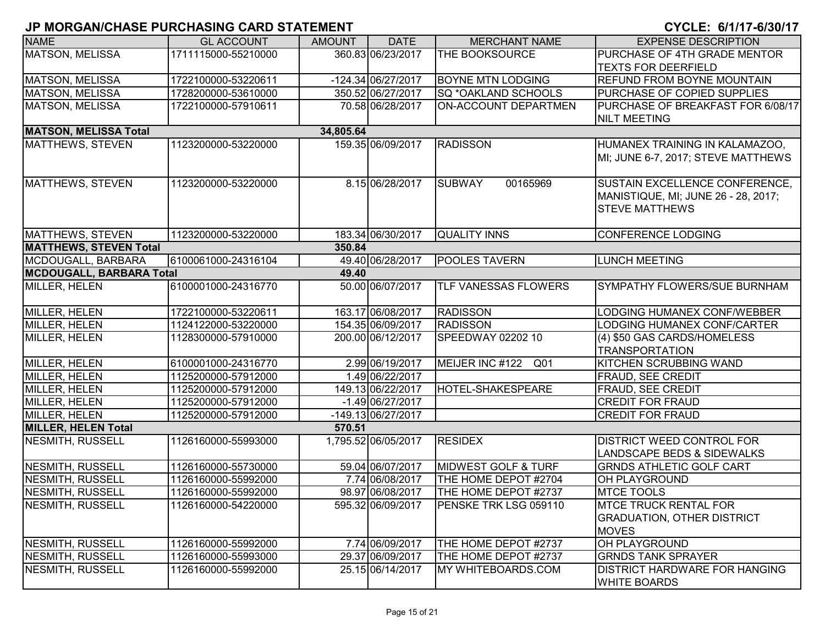| <b>NAME</b>                     | <b>GL ACCOUNT</b>   | <b>AMOUNT</b> | <b>DATE</b>         | <b>MERCHANT NAME</b>           | <b>EXPENSE DESCRIPTION</b>            |
|---------------------------------|---------------------|---------------|---------------------|--------------------------------|---------------------------------------|
| <b>MATSON, MELISSA</b>          | 1711115000-55210000 |               | 360.83 06/23/2017   | THE BOOKSOURCE                 | PURCHASE OF 4TH GRADE MENTOR          |
|                                 |                     |               |                     |                                | <b>TEXTS FOR DEERFIELD</b>            |
| <b>MATSON, MELISSA</b>          | 1722100000-53220611 |               | -124.34 06/27/2017  | <b>BOYNE MTN LODGING</b>       | <b>REFUND FROM BOYNE MOUNTAIN</b>     |
| <b>MATSON, MELISSA</b>          | 1728200000-53610000 |               | 350.52 06/27/2017   | <b>SQ *OAKLAND SCHOOLS</b>     | PURCHASE OF COPIED SUPPLIES           |
| <b>MATSON, MELISSA</b>          | 1722100000-57910611 |               | 70.58 06/28/2017    | ON-ACCOUNT DEPARTMEN           | PURCHASE OF BREAKFAST FOR 6/08/17     |
|                                 |                     |               |                     |                                | <b>NILT MEETING</b>                   |
| <b>MATSON, MELISSA Total</b>    |                     | 34,805.64     |                     |                                |                                       |
| MATTHEWS, STEVEN                | 1123200000-53220000 |               | 159.35 06/09/2017   | <b>RADISSON</b>                | HUMANEX TRAINING IN KALAMAZOO,        |
|                                 |                     |               |                     |                                | MI; JUNE 6-7, 2017; STEVE MATTHEWS    |
|                                 |                     |               |                     |                                |                                       |
| MATTHEWS, STEVEN                | 1123200000-53220000 |               | 8.15 06/28/2017     | <b>SUBWAY</b><br>00165969      | SUSTAIN EXCELLENCE CONFERENCE,        |
|                                 |                     |               |                     |                                | MANISTIQUE, MI; JUNE 26 - 28, 2017;   |
|                                 |                     |               |                     |                                | <b>STEVE MATTHEWS</b>                 |
|                                 |                     |               |                     |                                |                                       |
| MATTHEWS, STEVEN                | 1123200000-53220000 |               | 183.34 06/30/2017   | <b>QUALITY INNS</b>            | <b>CONFERENCE LODGING</b>             |
| <b>MATTHEWS, STEVEN Total</b>   |                     | 350.84        |                     |                                |                                       |
| MCDOUGALL, BARBARA              | 6100061000-24316104 |               | 49.40 06/28/2017    | <b>POOLES TAVERN</b>           | <b>LUNCH MEETING</b>                  |
| <b>MCDOUGALL, BARBARA Total</b> |                     | 49.40         |                     |                                |                                       |
| MILLER, HELEN                   | 6100001000-24316770 |               | 50.00 06/07/2017    | <b>TLF VANESSAS FLOWERS</b>    | <b>SYMPATHY FLOWERS/SUE BURNHAM</b>   |
|                                 |                     |               |                     |                                |                                       |
| MILLER, HELEN                   | 1722100000-53220611 |               | 163.17 06/08/2017   | <b>RADISSON</b>                | LODGING HUMANEX CONF/WEBBER           |
| MILLER, HELEN                   | 1124122000-53220000 |               | 154.35 06/09/2017   | <b>RADISSON</b>                | LODGING HUMANEX CONF/CARTER           |
| MILLER, HELEN                   | 1128300000-57910000 |               | 200.00 06/12/2017   | SPEEDWAY 02202 10              | (4) \$50 GAS CARDS/HOMELESS           |
|                                 |                     |               |                     |                                | <b>TRANSPORTATION</b>                 |
| <b>MILLER, HELEN</b>            | 6100001000-24316770 |               | 2.99 06/19/2017     | MEIJER INC #122 Q01            | <b>KITCHEN SCRUBBING WAND</b>         |
| MILLER, HELEN                   | 1125200000-57912000 |               | 1.49 06/22/2017     |                                | <b>FRAUD, SEE CREDIT</b>              |
| MILLER, HELEN                   | 1125200000-57912000 |               | 149.13 06/22/2017   | <b>HOTEL-SHAKESPEARE</b>       | FRAUD, SEE CREDIT                     |
| MILLER, HELEN                   | 1125200000-57912000 |               | $-1.49$ 06/27/2017  |                                | <b>CREDIT FOR FRAUD</b>               |
| MILLER, HELEN                   | 1125200000-57912000 |               | -149.13 06/27/2017  |                                | <b>CREDIT FOR FRAUD</b>               |
| <b>MILLER, HELEN Total</b>      |                     | 570.51        |                     |                                |                                       |
| <b>NESMITH, RUSSELL</b>         | 1126160000-55993000 |               | 1,795.52 06/05/2017 | <b>RESIDEX</b>                 | <b>DISTRICT WEED CONTROL FOR</b>      |
|                                 |                     |               |                     |                                | <b>LANDSCAPE BEDS &amp; SIDEWALKS</b> |
| NESMITH, RUSSELL                | 1126160000-55730000 |               | 59.04 06/07/2017    | <b>MIDWEST GOLF &amp; TURF</b> | <b>GRNDS ATHLETIC GOLF CART</b>       |
| <b>NESMITH, RUSSELL</b>         | 1126160000-55992000 |               | 7.74 06/08/2017     | THE HOME DEPOT #2704           | <b>OH PLAYGROUND</b>                  |
| <b>NESMITH, RUSSELL</b>         | 1126160000-55992000 |               | 98.97 06/08/2017    | THE HOME DEPOT #2737           | <b>MTCE TOOLS</b>                     |
| NESMITH, RUSSELL                | 1126160000-54220000 |               | 595.32 06/09/2017   | PENSKE TRK LSG 059110          | <b>MTCE TRUCK RENTAL FOR</b>          |
|                                 |                     |               |                     |                                | <b>GRADUATION, OTHER DISTRICT</b>     |
|                                 |                     |               |                     |                                | <b>MOVES</b>                          |
| <b>NESMITH, RUSSELL</b>         | 1126160000-55992000 |               | 7.74 06/09/2017     | THE HOME DEPOT #2737           | OH PLAYGROUND                         |
| <b>NESMITH, RUSSELL</b>         | 1126160000-55993000 |               | 29.37 06/09/2017    | THE HOME DEPOT #2737           | <b>GRNDS TANK SPRAYER</b>             |
| <b>NESMITH, RUSSELL</b>         | 1126160000-55992000 |               | 25.15 06/14/2017    | MY WHITEBOARDS.COM             | <b>DISTRICT HARDWARE FOR HANGING</b>  |
|                                 |                     |               |                     |                                | <b>WHITE BOARDS</b>                   |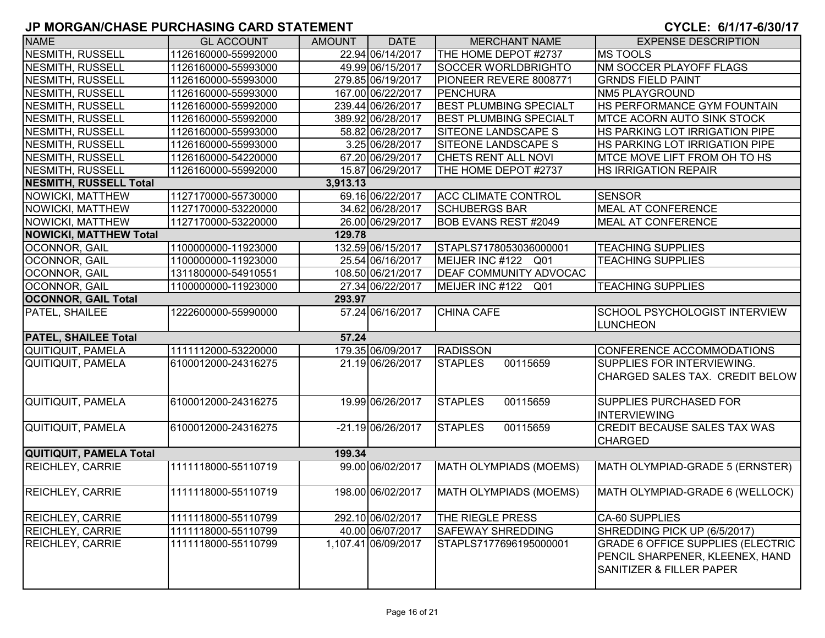| <b>NAME</b>                    | <b>GL ACCOUNT</b>   | <b>AMOUNT</b> | <b>DATE</b>         | <b>MERCHANT NAME</b>          | <b>EXPENSE DESCRIPTION</b>               |
|--------------------------------|---------------------|---------------|---------------------|-------------------------------|------------------------------------------|
| <b>NESMITH, RUSSELL</b>        | 1126160000-55992000 |               | 22.94 06/14/2017    | THE HOME DEPOT #2737          | <b>MS TOOLS</b>                          |
| <b>NESMITH, RUSSELL</b>        | 1126160000-55993000 |               | 49.99 06/15/2017    | <b>SOCCER WORLDBRIGHTO</b>    | NM SOCCER PLAYOFF FLAGS                  |
| <b>NESMITH, RUSSELL</b>        | 1126160000-55993000 |               | 279.85 06/19/2017   | PIONEER REVERE 8008771        | <b>GRNDS FIELD PAINT</b>                 |
| <b>NESMITH, RUSSELL</b>        | 1126160000-55993000 |               | 167.00 06/22/2017   | PENCHURA                      | <b>NM5 PLAYGROUND</b>                    |
| <b>NESMITH, RUSSELL</b>        | 1126160000-55992000 |               | 239.44 06/26/2017   | <b>BEST PLUMBING SPECIALT</b> | HS PERFORMANCE GYM FOUNTAIN              |
| <b>NESMITH, RUSSELL</b>        | 1126160000-55992000 |               | 389.92 06/28/2017   | <b>BEST PLUMBING SPECIALT</b> | <b>MTCE ACORN AUTO SINK STOCK</b>        |
| <b>NESMITH, RUSSELL</b>        | 1126160000-55993000 |               | 58.82 06/28/2017    | SITEONE LANDSCAPE S           | HS PARKING LOT IRRIGATION PIPE           |
| <b>NESMITH, RUSSELL</b>        | 1126160000-55993000 |               | 3.25 06/28/2017     | SITEONE LANDSCAPE S           | HS PARKING LOT IRRIGATION PIPE           |
| <b>NESMITH, RUSSELL</b>        | 1126160000-54220000 |               | 67.20 06/29/2017    | CHETS RENT ALL NOVI           | MTCE MOVE LIFT FROM OH TO HS             |
| <b>NESMITH, RUSSELL</b>        | 1126160000-55992000 |               | 15.87 06/29/2017    | THE HOME DEPOT #2737          | <b>HS IRRIGATION REPAIR</b>              |
| <b>NESMITH, RUSSELL Total</b>  |                     | 3,913.13      |                     |                               |                                          |
| NOWICKI, MATTHEW               | 1127170000-55730000 |               | 69.16 06/22/2017    | <b>ACC CLIMATE CONTROL</b>    | <b>SENSOR</b>                            |
| NOWICKI, MATTHEW               | 1127170000-53220000 |               | 34.62 06/28/2017    | <b>SCHUBERGS BAR</b>          | <b>MEAL AT CONFERENCE</b>                |
| <b>NOWICKI, MATTHEW</b>        | 1127170000-53220000 |               | 26.00 06/29/2017    | <b>BOB EVANS REST #2049</b>   | <b>MEAL AT CONFERENCE</b>                |
| <b>NOWICKI, MATTHEW Total</b>  |                     | 129.78        |                     |                               |                                          |
| OCONNOR, GAIL                  | 1100000000-11923000 |               | 132.59 06/15/2017   | STAPLS7178053036000001        | <b>TEACHING SUPPLIES</b>                 |
| OCONNOR, GAIL                  | 1100000000-11923000 |               | 25.54 06/16/2017    | MEIJER INC #122 Q01           | <b>TEACHING SUPPLIES</b>                 |
| OCONNOR, GAIL                  | 1311800000-54910551 |               | 108.50 06/21/2017   | <b>DEAF COMMUNITY ADVOCAC</b> |                                          |
| OCONNOR, GAIL                  | 1100000000-11923000 |               | 27.34 06/22/2017    | MEIJER INC #122<br>Q01        | <b>TEACHING SUPPLIES</b>                 |
| <b>OCONNOR, GAIL Total</b>     |                     | 293.97        |                     |                               |                                          |
| PATEL, SHAILEE                 | 1222600000-55990000 |               | 57.24 06/16/2017    | <b>CHINA CAFE</b>             | <b>SCHOOL PSYCHOLOGIST INTERVIEW</b>     |
|                                |                     |               |                     |                               | <b>LUNCHEON</b>                          |
| <b>PATEL, SHAILEE Total</b>    |                     | 57.24         |                     |                               |                                          |
| <b>QUITIQUIT, PAMELA</b>       | 1111112000-53220000 |               | 179.35 06/09/2017   | <b>RADISSON</b>               | CONFERENCE ACCOMMODATIONS                |
| QUITIQUIT, PAMELA              | 6100012000-24316275 |               | 21.19 06/26/2017    | 00115659<br><b>STAPLES</b>    | SUPPLIES FOR INTERVIEWING.               |
|                                |                     |               |                     |                               | CHARGED SALES TAX. CREDIT BELOW          |
|                                |                     |               |                     |                               |                                          |
| <b>QUITIQUIT, PAMELA</b>       | 6100012000-24316275 |               | 19.99 06/26/2017    | <b>STAPLES</b><br>00115659    | <b>SUPPLIES PURCHASED FOR</b>            |
|                                |                     |               |                     |                               | <b>INTERVIEWING</b>                      |
| <b>QUITIQUIT, PAMELA</b>       | 6100012000-24316275 |               | -21.19 06/26/2017   | <b>STAPLES</b><br>00115659    | <b>CREDIT BECAUSE SALES TAX WAS</b>      |
|                                |                     |               |                     |                               | <b>CHARGED</b>                           |
| <b>QUITIQUIT, PAMELA Total</b> |                     | 199.34        |                     |                               |                                          |
| <b>REICHLEY, CARRIE</b>        | 1111118000-55110719 |               | 99.00 06/02/2017    | MATH OLYMPIADS (MOEMS)        | MATH OLYMPIAD-GRADE 5 (ERNSTER)          |
|                                |                     |               |                     |                               |                                          |
| <b>REICHLEY, CARRIE</b>        | 1111118000-55110719 |               | 198.00 06/02/2017   | MATH OLYMPIADS (MOEMS)        | MATH OLYMPIAD-GRADE 6 (WELLOCK)          |
|                                |                     |               |                     |                               |                                          |
| <b>REICHLEY, CARRIE</b>        | 1111118000-55110799 |               | 292.10 06/02/2017   | THE RIEGLE PRESS              | <b>CA-60 SUPPLIES</b>                    |
| <b>REICHLEY, CARRIE</b>        | 1111118000-55110799 |               | 40.00 06/07/2017    | <b>SAFEWAY SHREDDING</b>      | SHREDDING PICK UP (6/5/2017)             |
| <b>REICHLEY, CARRIE</b>        | 1111118000-55110799 |               | 1,107.41 06/09/2017 | STAPLS7177696195000001        | <b>GRADE 6 OFFICE SUPPLIES (ELECTRIC</b> |
|                                |                     |               |                     |                               | PENCIL SHARPENER, KLEENEX, HAND          |
|                                |                     |               |                     |                               | <b>SANITIZER &amp; FILLER PAPER</b>      |
|                                |                     |               |                     |                               |                                          |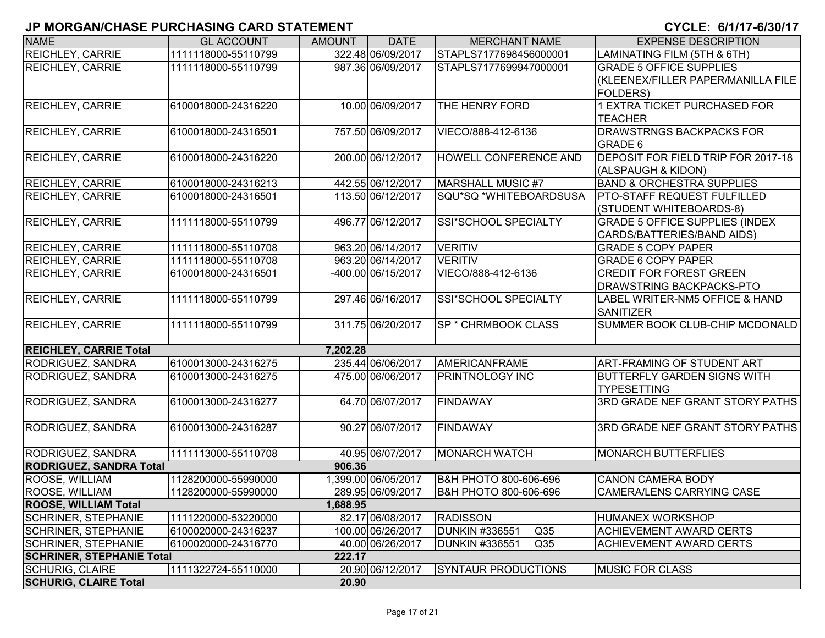| <b>NAME</b>                      | <b>GL ACCOUNT</b>   | <b>AMOUNT</b> | <b>DATE</b>        | <b>MERCHANT NAME</b>                     | <b>EXPENSE DESCRIPTION</b>            |
|----------------------------------|---------------------|---------------|--------------------|------------------------------------------|---------------------------------------|
| REICHLEY, CARRIE                 | 1111118000-55110799 |               | 322.48 06/09/2017  | STAPLS7177698456000001                   | LAMINATING FILM (5TH & 6TH)           |
| <b>REICHLEY, CARRIE</b>          | 1111118000-55110799 |               | 987.36 06/09/2017  | STAPLS7177699947000001                   | <b>GRADE 5 OFFICE SUPPLIES</b>        |
|                                  |                     |               |                    |                                          | (KLEENEX/FILLER PAPER/MANILLA FILE    |
|                                  |                     |               |                    |                                          | <b>FOLDERS)</b>                       |
| <b>REICHLEY, CARRIE</b>          | 6100018000-24316220 |               | 10.00 06/09/2017   | THE HENRY FORD                           | <b>1 EXTRA TICKET PURCHASED FOR</b>   |
|                                  |                     |               |                    |                                          | <b>TEACHER</b>                        |
| <b>REICHLEY, CARRIE</b>          | 6100018000-24316501 |               | 757.50 06/09/2017  | VIECO/888-412-6136                       | <b>DRAWSTRNGS BACKPACKS FOR</b>       |
|                                  |                     |               |                    |                                          | <b>GRADE 6</b>                        |
| <b>REICHLEY, CARRIE</b>          | 6100018000-24316220 |               | 200.00 06/12/2017  | HOWELL CONFERENCE AND                    | DEPOSIT FOR FIELD TRIP FOR 2017-18    |
|                                  |                     |               |                    |                                          | (ALSPAUGH & KIDON)                    |
| <b>REICHLEY, CARRIE</b>          | 6100018000-24316213 |               | 442.55 06/12/2017  | MARSHALL MUSIC #7                        | <b>BAND &amp; ORCHESTRA SUPPLIES</b>  |
| <b>REICHLEY, CARRIE</b>          | 6100018000-24316501 |               | 113.50 06/12/2017  | SQU*SQ *WHITEBOARDSUSA                   | <b>PTO-STAFF REQUEST FULFILLED</b>    |
|                                  |                     |               |                    |                                          | (STUDENT WHITEBOARDS-8)               |
| <b>REICHLEY, CARRIE</b>          | 1111118000-55110799 |               | 496.77 06/12/2017  | SSI*SCHOOL SPECIALTY                     | <b>GRADE 5 OFFICE SUPPLIES (INDEX</b> |
|                                  |                     |               |                    |                                          | CARDS/BATTERIES/BAND AIDS)            |
| REICHLEY, CARRIE                 | 1111118000-55110708 |               | 963.20 06/14/2017  | <b>VERITIV</b>                           | <b>GRADE 5 COPY PAPER</b>             |
| <b>REICHLEY, CARRIE</b>          | 1111118000-55110708 |               | 963.20 06/14/2017  | <b>VERITIV</b>                           | <b>GRADE 6 COPY PAPER</b>             |
| <b>REICHLEY, CARRIE</b>          | 6100018000-24316501 |               | -400.00 06/15/2017 | VIECO/888-412-6136                       | <b>CREDIT FOR FOREST GREEN</b>        |
|                                  |                     |               |                    |                                          | <b>DRAWSTRING BACKPACKS-PTO</b>       |
| <b>REICHLEY, CARRIE</b>          | 1111118000-55110799 |               | 297.46 06/16/2017  | SSI*SCHOOL SPECIALTY                     | LABEL WRITER-NM5 OFFICE & HAND        |
|                                  |                     |               |                    |                                          | <b>SANITIZER</b>                      |
| <b>REICHLEY, CARRIE</b>          | 1111118000-55110799 |               | 311.75 06/20/2017  | <b>SP * CHRMBOOK CLASS</b>               | SUMMER BOOK CLUB-CHIP MCDONALD        |
|                                  |                     |               |                    |                                          |                                       |
| <b>REICHLEY, CARRIE Total</b>    |                     | 7,202.28      |                    |                                          |                                       |
| RODRIGUEZ, SANDRA                | 6100013000-24316275 |               | 235.44 06/06/2017  | AMERICANFRAME                            | <b>ART-FRAMING OF STUDENT ART</b>     |
| RODRIGUEZ, SANDRA                | 6100013000-24316275 |               | 475.00 06/06/2017  | <b>PRINTNOLOGY INC</b>                   | <b>BUTTERFLY GARDEN SIGNS WITH</b>    |
|                                  |                     |               |                    |                                          | <b>TYPESETTING</b>                    |
| RODRIGUEZ, SANDRA                | 6100013000-24316277 |               | 64.70 06/07/2017   | <b>FINDAWAY</b>                          | 3RD GRADE NEF GRANT STORY PATHS       |
|                                  |                     |               |                    |                                          |                                       |
| RODRIGUEZ, SANDRA                | 6100013000-24316287 |               | 90.27 06/07/2017   | <b>FINDAWAY</b>                          | 3RD GRADE NEF GRANT STORY PATHS       |
|                                  |                     |               |                    |                                          |                                       |
| RODRIGUEZ, SANDRA                | 1111113000-55110708 |               | 40.95 06/07/2017   | <b>MONARCH WATCH</b>                     | <b>MONARCH BUTTERFLIES</b>            |
| <b>RODRIGUEZ, SANDRA Total</b>   |                     | 906.36        |                    |                                          |                                       |
| ROOSE, WILLIAM                   | 1128200000-55990000 |               | ,399.00 06/05/2017 | <b>B&amp;H PHOTO 800-606-696</b>         | <b>CANON CAMERA BODY</b>              |
| <b>ROOSE, WILLIAM</b>            | 1128200000-55990000 |               | 289.95 06/09/2017  | B&H PHOTO 800-606-696                    | <b>CAMERA/LENS CARRYING CASE</b>      |
| <b>ROOSE, WILLIAM Total</b>      |                     | 1,688.95      |                    |                                          |                                       |
| <b>SCHRINER, STEPHANIE</b>       | 1111220000-53220000 |               | 82.17 06/08/2017   | <b>RADISSON</b>                          | <b>HUMANEX WORKSHOP</b>               |
| <b>SCHRINER, STEPHANIE</b>       | 6100020000-24316237 |               | 100.00 06/26/2017  | <b>DUNKIN #336551</b><br>Q35             | <b>ACHIEVEMENT AWARD CERTS</b>        |
| <b>SCHRINER, STEPHANIE</b>       | 6100020000-24316770 |               | 40.00 06/26/2017   | <b>DUNKIN #336551</b><br>Q <sub>35</sub> | <b>ACHIEVEMENT AWARD CERTS</b>        |
| <b>SCHRINER, STEPHANIE Total</b> |                     | 222.17        |                    |                                          |                                       |
| <b>SCHURIG, CLAIRE</b>           | 1111322724-55110000 |               | 20.90 06/12/2017   | <b>SYNTAUR PRODUCTIONS</b>               | <b>MUSIC FOR CLASS</b>                |
| <b>SCHURIG, CLAIRE Total</b>     |                     | 20.90         |                    |                                          |                                       |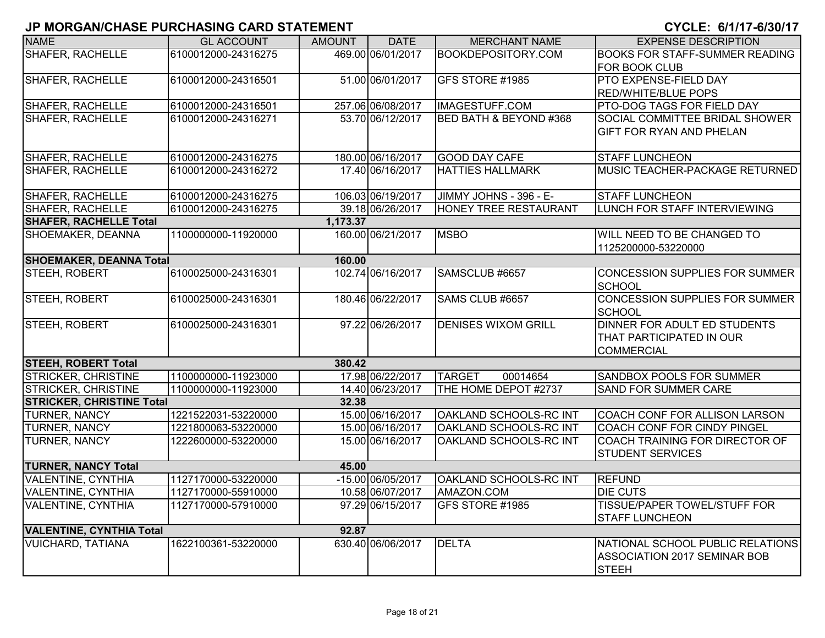| <b>NAME</b>                      | <b>GL ACCOUNT</b>   | <b>AMOUNT</b> | <b>DATE</b>       | <b>MERCHANT NAME</b>       | <b>EXPENSE DESCRIPTION</b>                                                       |
|----------------------------------|---------------------|---------------|-------------------|----------------------------|----------------------------------------------------------------------------------|
| <b>SHAFER, RACHELLE</b>          | 6100012000-24316275 |               | 469.00 06/01/2017 | <b>BOOKDEPOSITORY.COM</b>  | <b>BOOKS FOR STAFF-SUMMER READING</b>                                            |
|                                  |                     |               |                   |                            | <b>FOR BOOK CLUB</b>                                                             |
| <b>SHAFER, RACHELLE</b>          | 6100012000-24316501 |               | 51.00 06/01/2017  | GFS STORE #1985            | <b>PTO EXPENSE-FIELD DAY</b>                                                     |
|                                  |                     |               |                   |                            | <b>RED/WHITE/BLUE POPS</b>                                                       |
| <b>SHAFER, RACHELLE</b>          | 6100012000-24316501 |               | 257.06 06/08/2017 | <b>IMAGESTUFF.COM</b>      | <b>PTO-DOG TAGS FOR FIELD DAY</b>                                                |
| <b>SHAFER, RACHELLE</b>          | 6100012000-24316271 |               | 53.70 06/12/2017  | BED BATH & BEYOND #368     | SOCIAL COMMITTEE BRIDAL SHOWER                                                   |
|                                  |                     |               |                   |                            | <b>GIFT FOR RYAN AND PHELAN</b>                                                  |
| SHAFER, RACHELLE                 | 6100012000-24316275 |               | 180.00 06/16/2017 | <b>GOOD DAY CAFE</b>       | <b>STAFF LUNCHEON</b>                                                            |
| <b>SHAFER, RACHELLE</b>          | 6100012000-24316272 |               | 17.40 06/16/2017  | <b>HATTIES HALLMARK</b>    | MUSIC TEACHER-PACKAGE RETURNED                                                   |
| <b>SHAFER, RACHELLE</b>          | 6100012000-24316275 |               | 106.03 06/19/2017 | JIMMY JOHNS - 396 - E-     | <b>STAFF LUNCHEON</b>                                                            |
| <b>SHAFER, RACHELLE</b>          | 6100012000-24316275 |               | 39.18 06/26/2017  | HONEY TREE RESTAURANT      | LUNCH FOR STAFF INTERVIEWING                                                     |
| <b>SHAFER, RACHELLE Total</b>    |                     | 1,173.37      |                   |                            |                                                                                  |
| SHOEMAKER, DEANNA                | 1100000000-11920000 |               | 160.00 06/21/2017 | <b>MSBO</b>                | <b>WILL NEED TO BE CHANGED TO</b>                                                |
|                                  |                     |               |                   |                            | 1125200000-53220000                                                              |
| <b>SHOEMAKER, DEANNA Total</b>   |                     | 160.00        |                   |                            |                                                                                  |
| STEEH, ROBERT                    | 6100025000-24316301 |               | 102.74 06/16/2017 | SAMSCLUB #6657             | <b>CONCESSION SUPPLIES FOR SUMMER</b><br><b>SCHOOL</b>                           |
| STEEH, ROBERT                    | 6100025000-24316301 |               | 180.46 06/22/2017 | SAMS CLUB #6657            | <b>CONCESSION SUPPLIES FOR SUMMER</b><br>SCHOOL                                  |
| STEEH, ROBERT                    | 6100025000-24316301 |               | 97.22 06/26/2017  | <b>DENISES WIXOM GRILL</b> | DINNER FOR ADULT ED STUDENTS                                                     |
|                                  |                     |               |                   |                            | THAT PARTICIPATED IN OUR                                                         |
|                                  |                     |               |                   |                            | <b>COMMERCIAL</b>                                                                |
| <b>STEEH, ROBERT Total</b>       |                     | 380.42        |                   |                            |                                                                                  |
| <b>STRICKER, CHRISTINE</b>       | 1100000000-11923000 |               | 17.98 06/22/2017  | <b>TARGET</b><br>00014654  | <b>SANDBOX POOLS FOR SUMMER</b>                                                  |
| <b>STRICKER, CHRISTINE</b>       | 1100000000-11923000 |               | 14.40 06/23/2017  | THE HOME DEPOT #2737       | <b>SAND FOR SUMMER CARE</b>                                                      |
| <b>STRICKER, CHRISTINE Total</b> |                     | 32.38         |                   |                            |                                                                                  |
| <b>TURNER, NANCY</b>             | 1221522031-53220000 |               | 15.00 06/16/2017  | OAKLAND SCHOOLS-RC INT     | COACH CONF FOR ALLISON LARSON                                                    |
| <b>TURNER, NANCY</b>             | 1221800063-53220000 |               | 15.00 06/16/2017  | OAKLAND SCHOOLS-RC INT     | COACH CONF FOR CINDY PINGEL                                                      |
| TURNER, NANCY                    | 1222600000-53220000 |               | 15.00 06/16/2017  | OAKLAND SCHOOLS-RC INT     | COACH TRAINING FOR DIRECTOR OF<br><b>STUDENT SERVICES</b>                        |
| <b>TURNER, NANCY Total</b>       |                     | 45.00         |                   |                            |                                                                                  |
| <b>VALENTINE, CYNTHIA</b>        | 1127170000-53220000 |               | -15.00 06/05/2017 | OAKLAND SCHOOLS-RC INT     | <b>REFUND</b>                                                                    |
| <b>VALENTINE, CYNTHIA</b>        | 1127170000-55910000 |               | 10.58 06/07/2017  | AMAZON.COM                 | <b>DIE CUTS</b>                                                                  |
| VALENTINE, CYNTHIA               | 1127170000-57910000 |               | 97.29 06/15/2017  | GFS STORE #1985            | <b>TISSUE/PAPER TOWEL/STUFF FOR</b><br><b>STAFF LUNCHEON</b>                     |
| <b>VALENTINE, CYNTHIA Total</b>  |                     | 92.87         |                   |                            |                                                                                  |
| <b>VUICHARD, TATIANA</b>         | 1622100361-53220000 |               | 630.40 06/06/2017 | <b>DELTA</b>               | NATIONAL SCHOOL PUBLIC RELATIONS<br>ASSOCIATION 2017 SEMINAR BOB<br><b>STEEH</b> |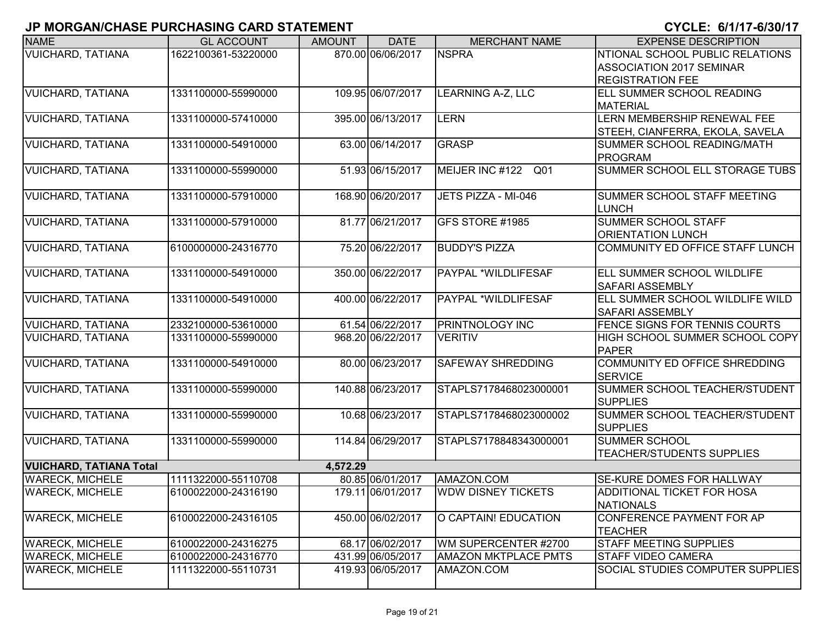| <b>NAME</b>                    | <b>GL ACCOUNT</b>   | <b>AMOUNT</b> | <b>DATE</b>       | <b>MERCHANT NAME</b>        | <b>EXPENSE DESCRIPTION</b>              |
|--------------------------------|---------------------|---------------|-------------------|-----------------------------|-----------------------------------------|
| <b>VUICHARD, TATIANA</b>       | 1622100361-53220000 |               | 870.00 06/06/2017 | <b>NSPRA</b>                | NTIONAL SCHOOL PUBLIC RELATIONS         |
|                                |                     |               |                   |                             | <b>ASSOCIATION 2017 SEMINAR</b>         |
|                                |                     |               |                   |                             | <b>REGISTRATION FEE</b>                 |
| <b>VUICHARD, TATIANA</b>       | 1331100000-55990000 |               | 109.95 06/07/2017 | <b>LEARNING A-Z, LLC</b>    | <b>ELL SUMMER SCHOOL READING</b>        |
|                                |                     |               |                   |                             | <b>MATERIAL</b>                         |
| <b>VUICHARD, TATIANA</b>       | 1331100000-57410000 |               | 395.00 06/13/2017 | <b>LERN</b>                 | LERN MEMBERSHIP RENEWAL FEE             |
|                                |                     |               |                   |                             | STEEH, CIANFERRA, EKOLA, SAVELA         |
| <b>VUICHARD, TATIANA</b>       | 1331100000-54910000 |               | 63.00 06/14/2017  | <b>GRASP</b>                | SUMMER SCHOOL READING/MATH              |
|                                |                     |               |                   |                             | <b>PROGRAM</b>                          |
| <b>VUICHARD, TATIANA</b>       | 1331100000-55990000 |               | 51.93 06/15/2017  | MEIJER INC #122<br>Q01      | SUMMER SCHOOL ELL STORAGE TUBS          |
|                                |                     |               |                   |                             |                                         |
| <b>VUICHARD, TATIANA</b>       | 1331100000-57910000 |               | 168.90 06/20/2017 | JETS PIZZA - MI-046         | SUMMER SCHOOL STAFF MEETING             |
|                                |                     |               |                   |                             | LUNCH                                   |
| <b>VUICHARD, TATIANA</b>       | 1331100000-57910000 |               | 81.77 06/21/2017  | GFS STORE #1985             | <b>SUMMER SCHOOL STAFF</b>              |
|                                |                     |               |                   |                             | <b>ORIENTATION LUNCH</b>                |
| <b>VUICHARD, TATIANA</b>       | 6100000000-24316770 |               | 75.20 06/22/2017  | <b>BUDDY'S PIZZA</b>        | COMMUNITY ED OFFICE STAFF LUNCH         |
| <b>VUICHARD, TATIANA</b>       | 1331100000-54910000 |               | 350.00 06/22/2017 | <b>PAYPAL *WILDLIFESAF</b>  | <b>ELL SUMMER SCHOOL WILDLIFE</b>       |
|                                |                     |               |                   |                             | <b>SAFARI ASSEMBLY</b>                  |
| <b>VUICHARD, TATIANA</b>       | 1331100000-54910000 |               | 400.00 06/22/2017 | <b>PAYPAL *WILDLIFESAF</b>  | ELL SUMMER SCHOOL WILDLIFE WILD         |
|                                |                     |               |                   |                             | <b>SAFARI ASSEMBLY</b>                  |
| <b>VUICHARD, TATIANA</b>       | 2332100000-53610000 |               | 61.54 06/22/2017  | <b>PRINTNOLOGY INC</b>      | <b>FENCE SIGNS FOR TENNIS COURTS</b>    |
| <b>VUICHARD, TATIANA</b>       | 1331100000-55990000 |               | 968.20 06/22/2017 | <b>VERITIV</b>              | HIGH SCHOOL SUMMER SCHOOL COPY          |
|                                |                     |               |                   |                             | <b>PAPER</b>                            |
| <b>VUICHARD, TATIANA</b>       | 1331100000-54910000 |               | 80.00 06/23/2017  | <b>SAFEWAY SHREDDING</b>    | COMMUNITY ED OFFICE SHREDDING           |
|                                |                     |               |                   |                             | <b>SERVICE</b>                          |
| <b>VUICHARD, TATIANA</b>       | 1331100000-55990000 |               | 140.88 06/23/2017 | STAPLS7178468023000001      | SUMMER SCHOOL TEACHER/STUDENT           |
|                                |                     |               |                   |                             | <b>SUPPLIES</b>                         |
| <b>VUICHARD, TATIANA</b>       | 1331100000-55990000 |               | 10.68 06/23/2017  | STAPLS7178468023000002      | SUMMER SCHOOL TEACHER/STUDENT           |
|                                |                     |               |                   |                             | <b>SUPPLIES</b>                         |
| <b>VUICHARD, TATIANA</b>       | 1331100000-55990000 |               | 114.84 06/29/2017 | STAPLS7178848343000001      | <b>SUMMER SCHOOL</b>                    |
|                                |                     |               |                   |                             | <b>TEACHER/STUDENTS SUPPLIES</b>        |
| <b>VUICHARD, TATIANA Total</b> |                     | 4.572.29      |                   |                             |                                         |
| <b>WARECK, MICHELE</b>         | 1111322000-55110708 |               | 80.85 06/01/2017  | AMAZON.COM                  | <b>SE-KURE DOMES FOR HALLWAY</b>        |
| <b>WARECK, MICHELE</b>         | 6100022000-24316190 |               | 179.11 06/01/2017 | <b>WDW DISNEY TICKETS</b>   | ADDITIONAL TICKET FOR HOSA              |
|                                |                     |               |                   |                             | NATIONALS                               |
| <b>WARECK, MICHELE</b>         | 6100022000-24316105 |               | 450.00 06/02/2017 | O CAPTAIN! EDUCATION        | CONFERENCE PAYMENT FOR AP               |
|                                |                     |               |                   |                             | <b>TEACHER</b>                          |
| <b>WARECK, MICHELE</b>         | 6100022000-24316275 |               | 68.17 06/02/2017  | WM SUPERCENTER #2700        | <b>STAFF MEETING SUPPLIES</b>           |
| <b>WARECK, MICHELE</b>         | 6100022000-24316770 |               | 431.99 06/05/2017 | <b>AMAZON MKTPLACE PMTS</b> | <b>STAFF VIDEO CAMERA</b>               |
| <b>WARECK, MICHELE</b>         | 1111322000-55110731 |               | 419.93 06/05/2017 | AMAZON.COM                  | <b>SOCIAL STUDIES COMPUTER SUPPLIES</b> |
|                                |                     |               |                   |                             |                                         |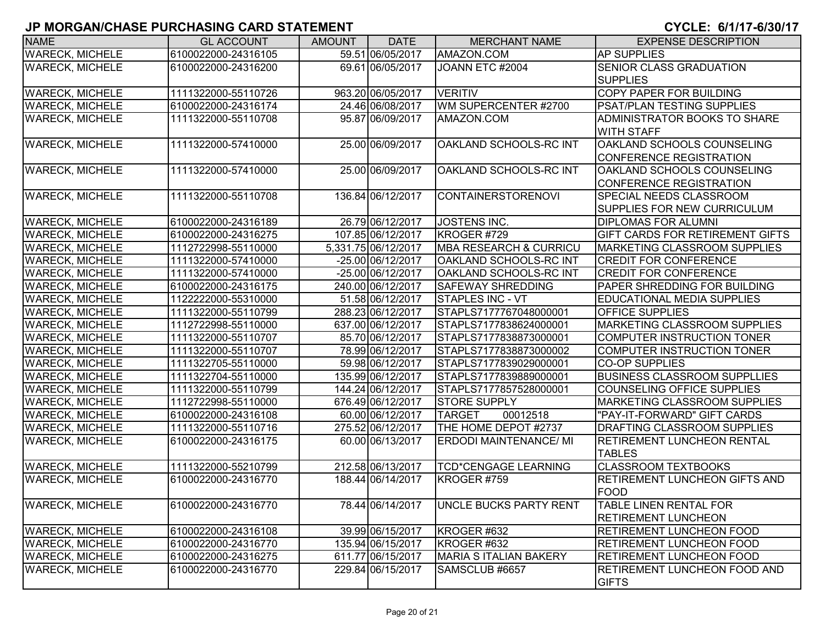| <b>NAME</b>            | <b>GL ACCOUNT</b>   | <b>AMOUNT</b> | <b>DATE</b>         | <b>MERCHANT NAME</b>              | <b>EXPENSE DESCRIPTION</b>                         |
|------------------------|---------------------|---------------|---------------------|-----------------------------------|----------------------------------------------------|
| <b>WARECK, MICHELE</b> | 6100022000-24316105 |               | 59.51 06/05/2017    | AMAZON.COM                        | <b>AP SUPPLIES</b>                                 |
| <b>WARECK, MICHELE</b> | 6100022000-24316200 |               | 69.61 06/05/2017    | JOANN ETC #2004                   | <b>SENIOR CLASS GRADUATION</b>                     |
|                        |                     |               |                     |                                   | <b>SUPPLIES</b>                                    |
| <b>WARECK, MICHELE</b> | 1111322000-55110726 |               | 963.20 06/05/2017   | <b>VERITIV</b>                    | <b>COPY PAPER FOR BUILDING</b>                     |
| <b>WARECK, MICHELE</b> | 6100022000-24316174 |               | 24.46 06/08/2017    | WM SUPERCENTER #2700              | <b>PSAT/PLAN TESTING SUPPLIES</b>                  |
| <b>WARECK, MICHELE</b> | 1111322000-55110708 |               | 95.87 06/09/2017    | AMAZON.COM                        | ADMINISTRATOR BOOKS TO SHARE                       |
|                        |                     |               |                     |                                   | <b>WITH STAFF</b>                                  |
| <b>WARECK, MICHELE</b> | 1111322000-57410000 |               | 25.00 06/09/2017    | OAKLAND SCHOOLS-RC INT            | OAKLAND SCHOOLS COUNSELING                         |
|                        |                     |               |                     |                                   | <b>CONFERENCE REGISTRATION</b>                     |
| <b>WARECK, MICHELE</b> | 1111322000-57410000 |               | 25.00 06/09/2017    | OAKLAND SCHOOLS-RC INT            | OAKLAND SCHOOLS COUNSELING                         |
|                        |                     |               |                     |                                   | <b>CONFERENCE REGISTRATION</b>                     |
| <b>WARECK, MICHELE</b> | 1111322000-55110708 |               | 136.84 06/12/2017   | <b>CONTAINERSTORENOVI</b>         | SPECIAL NEEDS CLASSROOM                            |
|                        |                     |               |                     |                                   | <b>SUPPLIES FOR NEW CURRICULUM</b>                 |
| <b>WARECK, MICHELE</b> | 6100022000-24316189 |               | 26.79 06/12/2017    | <b>JOSTENS INC.</b>               | <b>DIPLOMAS FOR ALUMNI</b>                         |
| <b>WARECK, MICHELE</b> | 6100022000-24316275 |               | 107.85 06/12/2017   | KROGER #729                       | <b>GIFT CARDS FOR RETIREMENT GIFTS</b>             |
| <b>WARECK, MICHELE</b> | 1112722998-55110000 |               | 5,331.75 06/12/2017 | <b>MBA RESEARCH &amp; CURRICU</b> | <b>MARKETING CLASSROOM SUPPLIES</b>                |
| <b>WARECK, MICHELE</b> | 1111322000-57410000 |               | -25.00 06/12/2017   | <b>OAKLAND SCHOOLS-RC INT</b>     | <b>CREDIT FOR CONFERENCE</b>                       |
| <b>WARECK, MICHELE</b> | 1111322000-57410000 |               | -25.00 06/12/2017   | OAKLAND SCHOOLS-RC INT            | <b>CREDIT FOR CONFERENCE</b>                       |
| <b>WARECK, MICHELE</b> | 6100022000-24316175 |               | 240.00 06/12/2017   | <b>SAFEWAY SHREDDING</b>          | PAPER SHREDDING FOR BUILDING                       |
| <b>WARECK, MICHELE</b> | 1122222000-55310000 |               | 51.58 06/12/2017    | <b>STAPLES INC - VT</b>           | <b>EDUCATIONAL MEDIA SUPPLIES</b>                  |
| <b>WARECK, MICHELE</b> | 1111322000-55110799 |               | 288.23 06/12/2017   | STAPLS7177767048000001            | <b>OFFICE SUPPLIES</b>                             |
| <b>WARECK, MICHELE</b> | 1112722998-55110000 |               | 637.00 06/12/2017   | STAPLS7177838624000001            | MARKETING CLASSROOM SUPPLIES                       |
| <b>WARECK, MICHELE</b> | 1111322000-55110707 |               | 85.70 06/12/2017    | STAPLS7177838873000001            | COMPUTER INSTRUCTION TONER                         |
| <b>WARECK, MICHELE</b> | 1111322000-55110707 |               | 78.99 06/12/2017    | STAPLS7177838873000002            | <b>COMPUTER INSTRUCTION TONER</b>                  |
| <b>WARECK, MICHELE</b> | 1111322705-55110000 |               | 59.98 06/12/2017    | STAPLS7177839029000001            | <b>CO-OP SUPPLIES</b>                              |
| <b>WARECK, MICHELE</b> | 1111322704-55110000 |               | 135.99 06/12/2017   | STAPLS7177839889000001            | <b>BUSINESS CLASSROOM SUPPLLIES</b>                |
| <b>WARECK, MICHELE</b> | 1111322000-55110799 |               | 144.24 06/12/2017   | STAPLS7177857528000001            | <b>COUNSELING OFFICE SUPPLIES</b>                  |
| <b>WARECK, MICHELE</b> | 1112722998-55110000 |               | 676.49 06/12/2017   | <b>STORE SUPPLY</b>               | <b>MARKETING CLASSROOM SUPPLIES</b>                |
| <b>WARECK, MICHELE</b> | 6100022000-24316108 |               | 60.00 06/12/2017    | 00012518<br><b>TARGET</b>         | "PAY-IT-FORWARD" GIFT CARDS                        |
| <b>WARECK, MICHELE</b> | 1111322000-55110716 |               | 275.52 06/12/2017   | THE HOME DEPOT #2737              | DRAFTING CLASSROOM SUPPLIES                        |
| <b>WARECK, MICHELE</b> | 6100022000-24316175 |               | 60.00 06/13/2017    | <b>ERDODI MAINTENANCE/ MI</b>     | <b>RETIREMENT LUNCHEON RENTAL</b><br><b>TABLES</b> |
| <b>WARECK, MICHELE</b> | 1111322000-55210799 |               | 212.58 06/13/2017   | <b>TCD*CENGAGE LEARNING</b>       | <b>CLASSROOM TEXTBOOKS</b>                         |
| <b>WARECK, MICHELE</b> | 6100022000-24316770 |               | 188.44 06/14/2017   | KROGER #759                       | <b>RETIREMENT LUNCHEON GIFTS AND</b>               |
|                        |                     |               |                     |                                   | FOOD                                               |
| <b>WARECK, MICHELE</b> | 6100022000-24316770 |               | 78.44 06/14/2017    | <b>UNCLE BUCKS PARTY RENT</b>     | TABLE LINEN RENTAL FOR                             |
|                        |                     |               |                     |                                   | <b>RETIREMENT LUNCHEON</b>                         |
| <b>WARECK, MICHELE</b> | 6100022000-24316108 |               | 39.99 06/15/2017    | KROGER #632                       | <b>RETIREMENT LUNCHEON FOOD</b>                    |
| <b>WARECK, MICHELE</b> | 6100022000-24316770 |               | 135.94 06/15/2017   | KROGER #632                       | <b>RETIREMENT LUNCHEON FOOD</b>                    |
| <b>WARECK, MICHELE</b> | 6100022000-24316275 |               | 611.77 06/15/2017   | <b>MARIA S ITALIAN BAKERY</b>     | RETIREMENT LUNCHEON FOOD                           |
| <b>WARECK, MICHELE</b> | 6100022000-24316770 |               | 229.84 06/15/2017   | SAMSCLUB #6657                    | <b>RETIREMENT LUNCHEON FOOD AND</b>                |
|                        |                     |               |                     |                                   | <b>GIFTS</b>                                       |